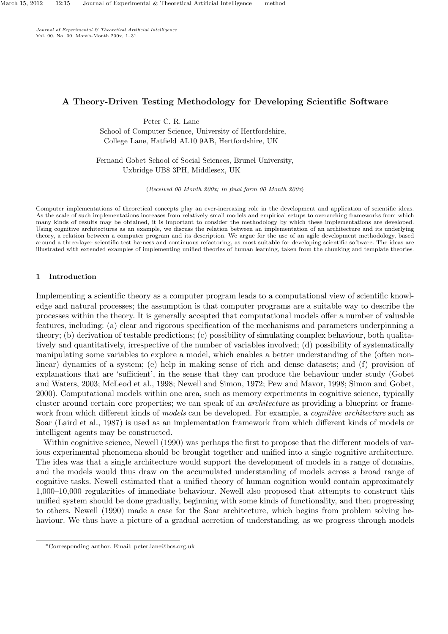Journal of Experimental & Theoretical Artificial Intelligence Vol. 00, No. 00, Month-Month 200x, 1–31

# A Theory-Driven Testing Methodology for Developing Scientific Software

Peter C. R. Lane

School of Computer Science, University of Hertfordshire, College Lane, Hatfield AL10 9AB, Hertfordshire, UK

Fernand Gobet School of Social Sciences, Brunel University, Uxbridge UB8 3PH, Middlesex, UK

(Received 00 Month 200x; In final form 00 Month 200x)

Computer implementations of theoretical concepts play an ever-increasing role in the development and application of scientific ideas. As the scale of such implementations increases from relatively small models and empirical setups to overarching frameworks from which many kinds of results may be obtained, it is important to consider the methodology by which these implementations are developed. Using cognitive architectures as an example, we discuss the relation between an implementation of an architecture and its underlying theory, a relation between a computer program and its description. We argue for the use of an agile development methodology, based around a three-layer scientific test harness and continuous refactoring, as most suitable for developing scientific software. The ideas are illustrated with extended examples of implementing unified theories of human learning, taken from the chunking and template theories.

# 1 Introduction

Implementing a scientific theory as a computer program leads to a computational view of scientific knowledge and natural processes; the assumption is that computer programs are a suitable way to describe the processes within the theory. It is generally accepted that computational models offer a number of valuable features, including: (a) clear and rigorous specification of the mechanisms and parameters underpinning a theory; (b) derivation of testable predictions; (c) possibility of simulating complex behaviour, both qualitatively and quantitatively, irrespective of the number of variables involved; (d) possibility of systematically manipulating some variables to explore a model, which enables a better understanding of the (often nonlinear) dynamics of a system; (e) help in making sense of rich and dense datasets; and (f) provision of explanations that are 'sufficient', in the sense that they can produce the behaviour under study (Gobet and Waters, 2003; McLeod et al., 1998; Newell and Simon, 1972; Pew and Mavor, 1998; Simon and Gobet, 2000). Computational models within one area, such as memory experiments in cognitive science, typically cluster around certain core properties; we can speak of an *architecture* as providing a blueprint or framework from which different kinds of *models* can be developed. For example, a *cognitive architecture* such as Soar (Laird et al., 1987) is used as an implementation framework from which different kinds of models or intelligent agents may be constructed.

Within cognitive science, Newell (1990) was perhaps the first to propose that the different models of various experimental phenomena should be brought together and unified into a single cognitive architecture. The idea was that a single architecture would support the development of models in a range of domains, and the models would thus draw on the accumulated understanding of models across a broad range of cognitive tasks. Newell estimated that a unified theory of human cognition would contain approximately 1,000–10,000 regularities of immediate behaviour. Newell also proposed that attempts to construct this unified system should be done gradually, beginning with some kinds of functionality, and then progressing to others. Newell (1990) made a case for the Soar architecture, which begins from problem solving behaviour. We thus have a picture of a gradual accretion of understanding, as we progress through models

<sup>∗</sup>Corresponding author. Email: peter.lane@bcs.org.uk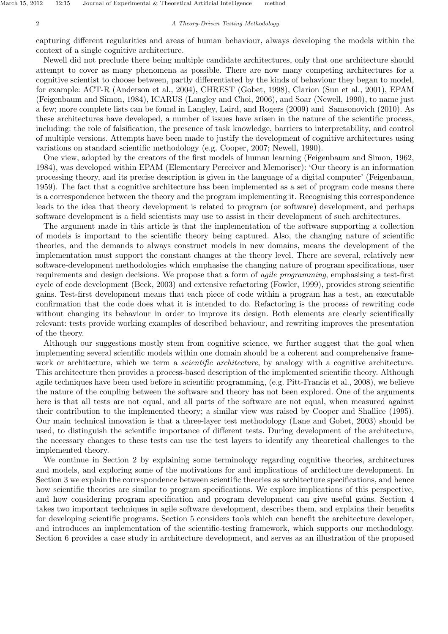capturing different regularities and areas of human behaviour, always developing the models within the context of a single cognitive architecture.

Newell did not preclude there being multiple candidate architectures, only that one architecture should attempt to cover as many phenomena as possible. There are now many competing architectures for a cognitive scientist to choose between, partly differentiated by the kinds of behaviour they began to model, for example: ACT-R (Anderson et al., 2004), CHREST (Gobet, 1998), Clarion (Sun et al., 2001), EPAM (Feigenbaum and Simon, 1984), ICARUS (Langley and Choi, 2006), and Soar (Newell, 1990), to name just a few; more complete lists can be found in Langley, Laird, and Rogers (2009) and Samsonovich (2010). As these architectures have developed, a number of issues have arisen in the nature of the scientific process, including: the role of falsification, the presence of task knowledge, barriers to interpretability, and control of multiple versions. Attempts have been made to justify the development of cognitive architectures using variations on standard scientific methodology (e.g. Cooper, 2007; Newell, 1990).

One view, adopted by the creators of the first models of human learning (Feigenbaum and Simon, 1962, 1984), was developed within EPAM (Elementary Perceiver and Memoriser): 'Our theory is an information processing theory, and its precise description is given in the language of a digital computer' (Feigenbaum, 1959). The fact that a cognitive architecture has been implemented as a set of program code means there is a correspondence between the theory and the program implementing it. Recognising this correspondence leads to the idea that theory development is related to program (or software) development, and perhaps software development is a field scientists may use to assist in their development of such architectures.

The argument made in this article is that the implementation of the software supporting a collection of models is important to the scientific theory being captured. Also, the changing nature of scientific theories, and the demands to always construct models in new domains, means the development of the implementation must support the constant changes at the theory level. There are several, relatively new software-development methodologies which emphasise the changing nature of program specifications, user requirements and design decisions. We propose that a form of agile programming, emphasising a test-first cycle of code development (Beck, 2003) and extensive refactoring (Fowler, 1999), provides strong scientific gains. Test-first development means that each piece of code within a program has a test, an executable confirmation that the code does what it is intended to do. Refactoring is the process of rewriting code without changing its behaviour in order to improve its design. Both elements are clearly scientifically relevant: tests provide working examples of described behaviour, and rewriting improves the presentation of the theory.

Although our suggestions mostly stem from cognitive science, we further suggest that the goal when implementing several scientific models within one domain should be a coherent and comprehensive framework or architecture, which we term a *scientific architecture*, by analogy with a cognitive architecture. This architecture then provides a process-based description of the implemented scientific theory. Although agile techniques have been used before in scientific programming, (e.g. Pitt-Francis et al., 2008), we believe the nature of the coupling between the software and theory has not been explored. One of the arguments here is that all tests are not equal, and all parts of the software are not equal, when measured against their contribution to the implemented theory; a similar view was raised by Cooper and Shallice (1995). Our main technical innovation is that a three-layer test methodology (Lane and Gobet, 2003) should be used, to distinguish the scientific importance of different tests. During development of the architecture, the necessary changes to these tests can use the test layers to identify any theoretical challenges to the implemented theory.

We continue in Section 2 by explaining some terminology regarding cognitive theories, architectures and models, and exploring some of the motivations for and implications of architecture development. In Section 3 we explain the correspondence between scientific theories as architecture specifications, and hence how scientific theories are similar to program specifications. We explore implications of this perspective, and how considering program specification and program development can give useful gains. Section 4 takes two important techniques in agile software development, describes them, and explains their benefits for developing scientific programs. Section 5 considers tools which can benefit the architecture developer, and introduces an implementation of the scientific-testing framework, which supports our methodology. Section 6 provides a case study in architecture development, and serves as an illustration of the proposed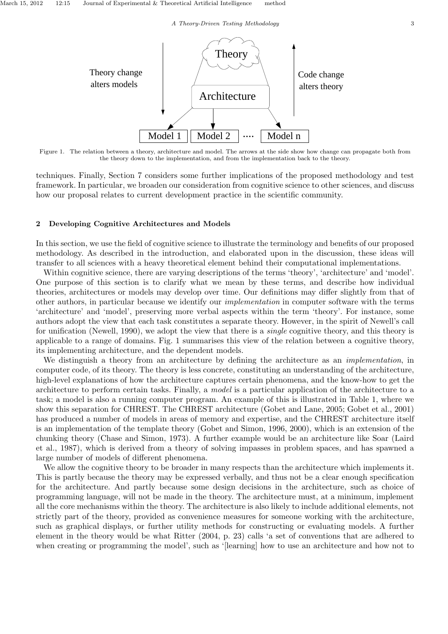

Figure 1. The relation between a theory, architecture and model. The arrows at the side show how change can propagate both from the theory down to the implementation, and from the implementation back to the theory.

techniques. Finally, Section 7 considers some further implications of the proposed methodology and test framework. In particular, we broaden our consideration from cognitive science to other sciences, and discuss how our proposal relates to current development practice in the scientific community.

### 2 Developing Cognitive Architectures and Models

In this section, we use the field of cognitive science to illustrate the terminology and benefits of our proposed methodology. As described in the introduction, and elaborated upon in the discussion, these ideas will transfer to all sciences with a heavy theoretical element behind their computational implementations.

Within cognitive science, there are varying descriptions of the terms 'theory', 'architecture' and 'model'. One purpose of this section is to clarify what we mean by these terms, and describe how individual theories, architectures or models may develop over time. Our definitions may differ slightly from that of other authors, in particular because we identify our implementation in computer software with the terms 'architecture' and 'model', preserving more verbal aspects within the term 'theory'. For instance, some authors adopt the view that each task constitutes a separate theory. However, in the spirit of Newell's call for unification (Newell, 1990), we adopt the view that there is a single cognitive theory, and this theory is applicable to a range of domains. Fig. 1 summarises this view of the relation between a cognitive theory, its implementing architecture, and the dependent models.

We distinguish a theory from an architecture by defining the architecture as an *implementation*, in computer code, of its theory. The theory is less concrete, constituting an understanding of the architecture, high-level explanations of how the architecture captures certain phenomena, and the know-how to get the architecture to perform certain tasks. Finally, a model is a particular application of the architecture to a task; a model is also a running computer program. An example of this is illustrated in Table 1, where we show this separation for CHREST. The CHREST architecture (Gobet and Lane, 2005; Gobet et al., 2001) has produced a number of models in areas of memory and expertise, and the CHREST architecture itself is an implementation of the template theory (Gobet and Simon, 1996, 2000), which is an extension of the chunking theory (Chase and Simon, 1973). A further example would be an architecture like Soar (Laird et al., 1987), which is derived from a theory of solving impasses in problem spaces, and has spawned a large number of models of different phenomena.

We allow the cognitive theory to be broader in many respects than the architecture which implements it. This is partly because the theory may be expressed verbally, and thus not be a clear enough specification for the architecture. And partly because some design decisions in the architecture, such as choice of programming language, will not be made in the theory. The architecture must, at a minimum, implement all the core mechanisms within the theory. The architecture is also likely to include additional elements, not strictly part of the theory, provided as convenience measures for someone working with the architecture, such as graphical displays, or further utility methods for constructing or evaluating models. A further element in the theory would be what Ritter (2004, p. 23) calls 'a set of conventions that are adhered to when creating or programming the model', such as '[learning] how to use an architecture and how not to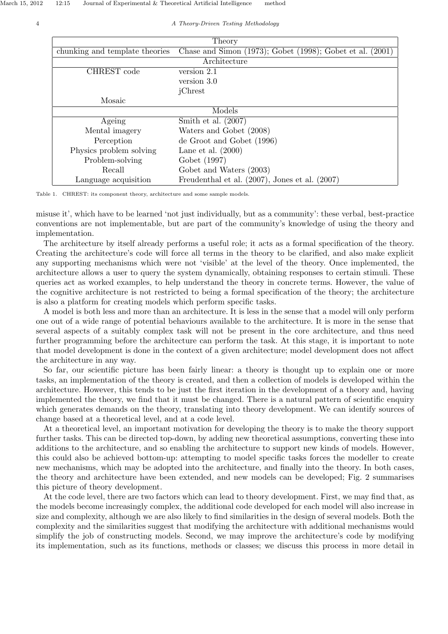March 15, 2012 12:15 Journal of Experimental & Theoretical Artificial Intelligence method

4 A Theory-Driven Testing Methodology

| Theory                          |                                                           |  |  |  |  |
|---------------------------------|-----------------------------------------------------------|--|--|--|--|
| chunking and template theories  | Chase and Simon (1973); Gobet (1998); Gobet et al. (2001) |  |  |  |  |
| Architecture                    |                                                           |  |  |  |  |
| CHREST code                     | version 2.1                                               |  |  |  |  |
|                                 | version 3.0                                               |  |  |  |  |
|                                 | jChrest                                                   |  |  |  |  |
| Mosaic                          |                                                           |  |  |  |  |
|                                 | Models                                                    |  |  |  |  |
| Ageing<br>Smith et al. $(2007)$ |                                                           |  |  |  |  |
| Mental imagery                  | Waters and Gobet (2008)                                   |  |  |  |  |
| Perception                      | de Groot and Gobet (1996)                                 |  |  |  |  |
| Physics problem solving         | Lane et al. $(2000)$                                      |  |  |  |  |
| Problem-solving                 | Gobet (1997)                                              |  |  |  |  |
| Recall                          | Gobet and Waters (2003)                                   |  |  |  |  |
| Language acquisition            | Freudenthal et al. $(2007)$ , Jones et al. $(2007)$       |  |  |  |  |

Table 1. CHREST: its component theory, architecture and some sample models.

misuse it', which have to be learned 'not just individually, but as a community': these verbal, best-practice conventions are not implementable, but are part of the community's knowledge of using the theory and implementation.

The architecture by itself already performs a useful role; it acts as a formal specification of the theory. Creating the architecture's code will force all terms in the theory to be clarified, and also make explicit any supporting mechanisms which were not 'visible' at the level of the theory. Once implemented, the architecture allows a user to query the system dynamically, obtaining responses to certain stimuli. These queries act as worked examples, to help understand the theory in concrete terms. However, the value of the cognitive architecture is not restricted to being a formal specification of the theory; the architecture is also a platform for creating models which perform specific tasks.

A model is both less and more than an architecture. It is less in the sense that a model will only perform one out of a wide range of potential behaviours available to the architecture. It is more in the sense that several aspects of a suitably complex task will not be present in the core architecture, and thus need further programming before the architecture can perform the task. At this stage, it is important to note that model development is done in the context of a given architecture; model development does not affect the architecture in any way.

So far, our scientific picture has been fairly linear: a theory is thought up to explain one or more tasks, an implementation of the theory is created, and then a collection of models is developed within the architecture. However, this tends to be just the first iteration in the development of a theory and, having implemented the theory, we find that it must be changed. There is a natural pattern of scientific enquiry which generates demands on the theory, translating into theory development. We can identify sources of change based at a theoretical level, and at a code level.

At a theoretical level, an important motivation for developing the theory is to make the theory support further tasks. This can be directed top-down, by adding new theoretical assumptions, converting these into additions to the architecture, and so enabling the architecture to support new kinds of models. However, this could also be achieved bottom-up: attempting to model specific tasks forces the modeller to create new mechanisms, which may be adopted into the architecture, and finally into the theory. In both cases, the theory and architecture have been extended, and new models can be developed; Fig. 2 summarises this picture of theory development.

At the code level, there are two factors which can lead to theory development. First, we may find that, as the models become increasingly complex, the additional code developed for each model will also increase in size and complexity, although we are also likely to find similarities in the design of several models. Both the complexity and the similarities suggest that modifying the architecture with additional mechanisms would simplify the job of constructing models. Second, we may improve the architecture's code by modifying its implementation, such as its functions, methods or classes; we discuss this process in more detail in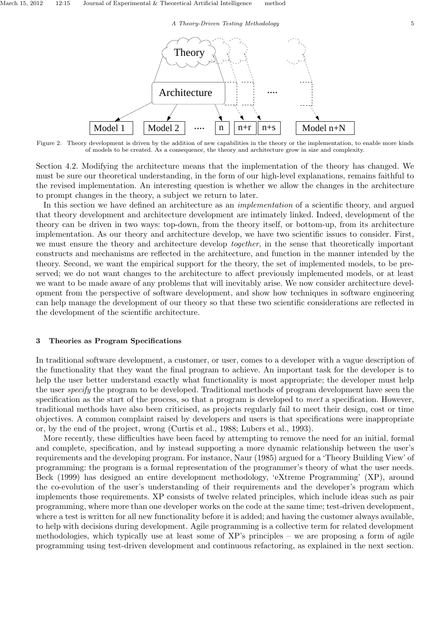

Figure 2. Theory development is driven by the addition of new capabilities in the theory or the implementation, to enable more kinds of models to be created. As a consequence, the theory and architecture grow in size and complexity.

Section 4.2. Modifying the architecture means that the implementation of the theory has changed. We must be sure our theoretical understanding, in the form of our high-level explanations, remains faithful to the revised implementation. An interesting question is whether we allow the changes in the architecture to prompt changes in the theory, a subject we return to later.

In this section we have defined an architecture as an *implementation* of a scientific theory, and argued that theory development and architecture development are intimately linked. Indeed, development of the theory can be driven in two ways: top-down, from the theory itself, or bottom-up, from its architecture implementation. As our theory and architecture develop, we have two scientific issues to consider. First, we must ensure the theory and architecture develop *together*, in the sense that theoretically important constructs and mechanisms are reflected in the architecture, and function in the manner intended by the theory. Second, we want the empirical support for the theory, the set of implemented models, to be preserved; we do not want changes to the architecture to affect previously implemented models, or at least we want to be made aware of any problems that will inevitably arise. We now consider architecture development from the perspective of software development, and show how techniques in software engineering can help manage the development of our theory so that these two scientific considerations are reflected in the development of the scientific architecture.

#### 3 Theories as Program Specifications

In traditional software development, a customer, or user, comes to a developer with a vague description of the functionality that they want the final program to achieve. An important task for the developer is to help the user better understand exactly what functionality is most appropriate; the developer must help the user specify the program to be developed. Traditional methods of program development have seen the specification as the start of the process, so that a program is developed to meet a specification. However, traditional methods have also been criticised, as projects regularly fail to meet their design, cost or time objectives. A common complaint raised by developers and users is that specifications were inappropriate or, by the end of the project, wrong (Curtis et al., 1988; Lubers et al., 1993).

More recently, these difficulties have been faced by attempting to remove the need for an initial, formal and complete, specification, and by instead supporting a more dynamic relationship between the user's requirements and the developing program. For instance, Naur (1985) argued for a 'Theory Building View' of programming: the program is a formal representation of the programmer's theory of what the user needs. Beck (1999) has designed an entire development methodology, 'eXtreme Programming' (XP), around the co-evolution of the user's understanding of their requirements and the developer's program which implements those requirements. XP consists of twelve related principles, which include ideas such as pair programming, where more than one developer works on the code at the same time; test-driven development, where a test is written for all new functionality before it is added; and having the customer always available, to help with decisions during development. Agile programming is a collective term for related development methodologies, which typically use at least some of XP's principles – we are proposing a form of agile programming using test-driven development and continuous refactoring, as explained in the next section.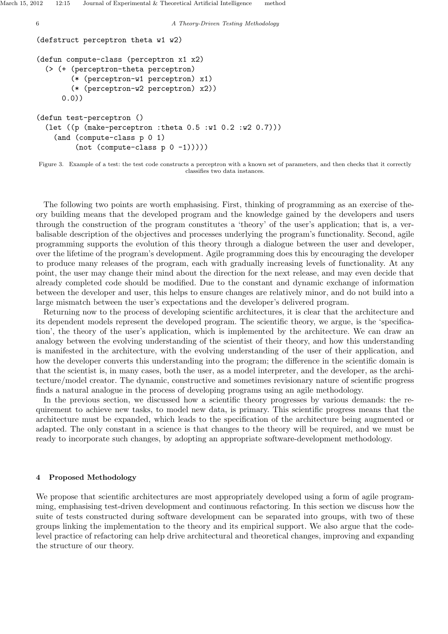```
6 A Theory-Driven Testing Methodology
(defstruct perceptron theta w1 w2)
(defun compute-class (perceptron x1 x2)
  (> (+ (perceptron-theta perceptron)
        (* (perceptron-w1 perceptron) x1)
        (* (perceptron-w2 perceptron) x2))
     0.0))
(defun test-perceptron ()
  (let ((p (make-perceptron :theta 0.5 :w1 0.2 :w2 0.7)))
    (and (compute-class p 0 1)
         (not (compute-class p 0 -1))))
```
Figure 3. Example of a test: the test code constructs a perceptron with a known set of parameters, and then checks that it correctly classifies two data instances.

The following two points are worth emphasising. First, thinking of programming as an exercise of theory building means that the developed program and the knowledge gained by the developers and users through the construction of the program constitutes a 'theory' of the user's application; that is, a verbalisable description of the objectives and processes underlying the program's functionality. Second, agile programming supports the evolution of this theory through a dialogue between the user and developer, over the lifetime of the program's development. Agile programming does this by encouraging the developer to produce many releases of the program, each with gradually increasing levels of functionality. At any point, the user may change their mind about the direction for the next release, and may even decide that already completed code should be modified. Due to the constant and dynamic exchange of information between the developer and user, this helps to ensure changes are relatively minor, and do not build into a large mismatch between the user's expectations and the developer's delivered program.

Returning now to the process of developing scientific architectures, it is clear that the architecture and its dependent models represent the developed program. The scientific theory, we argue, is the 'specification', the theory of the user's application, which is implemented by the architecture. We can draw an analogy between the evolving understanding of the scientist of their theory, and how this understanding is manifested in the architecture, with the evolving understanding of the user of their application, and how the developer converts this understanding into the program; the difference in the scientific domain is that the scientist is, in many cases, both the user, as a model interpreter, and the developer, as the architecture/model creator. The dynamic, constructive and sometimes revisionary nature of scientific progress finds a natural analogue in the process of developing programs using an agile methodology.

In the previous section, we discussed how a scientific theory progresses by various demands: the requirement to achieve new tasks, to model new data, is primary. This scientific progress means that the architecture must be expanded, which leads to the specification of the architecture being augmented or adapted. The only constant in a science is that changes to the theory will be required, and we must be ready to incorporate such changes, by adopting an appropriate software-development methodology.

# 4 Proposed Methodology

We propose that scientific architectures are most appropriately developed using a form of agile programming, emphasising test-driven development and continuous refactoring. In this section we discuss how the suite of tests constructed during software development can be separated into groups, with two of these groups linking the implementation to the theory and its empirical support. We also argue that the codelevel practice of refactoring can help drive architectural and theoretical changes, improving and expanding the structure of our theory.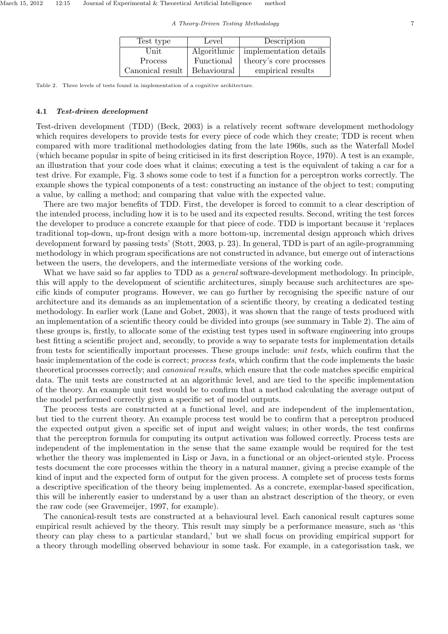A Theory-Driven Testing Methodology 7

| Test type        | Level       | Description                          |
|------------------|-------------|--------------------------------------|
| Unit             |             | Algorithmic   implementation details |
| Process          | Functional  | theory's core processes              |
| Canonical result | Behavioural | empirical results                    |

Table 2. Three levels of tests found in implementation of a cognitive architecture.

#### 4.1 *Test-driven development*

Test-driven development (TDD) (Beck, 2003) is a relatively recent software development methodology which requires developers to provide tests for every piece of code which they create; TDD is recent when compared with more traditional methodologies dating from the late 1960s, such as the Waterfall Model (which became popular in spite of being criticised in its first description Royce, 1970). A test is an example, an illustration that your code does what it claims; executing a test is the equivalent of taking a car for a test drive. For example, Fig. 3 shows some code to test if a function for a perceptron works correctly. The example shows the typical components of a test: constructing an instance of the object to test; computing a value, by calling a method; and comparing that value with the expected value.

There are two major benefits of TDD. First, the developer is forced to commit to a clear description of the intended process, including how it is to be used and its expected results. Second, writing the test forces the developer to produce a concrete example for that piece of code. TDD is important because it 'replaces traditional top-down, up-front design with a more bottom-up, incremental design approach which drives development forward by passing tests' (Stott, 2003, p. 23). In general, TDD is part of an agile-programming methodology in which program specifications are not constructed in advance, but emerge out of interactions between the users, the developers, and the intermediate versions of the working code.

What we have said so far applies to TDD as a *general* software-development methodology. In principle, this will apply to the development of scientific architectures, simply because such architectures are specific kinds of computer programs. However, we can go further by recognising the specific nature of our architecture and its demands as an implementation of a scientific theory, by creating a dedicated testing methodology. In earlier work (Lane and Gobet, 2003), it was shown that the range of tests produced with an implementation of a scientific theory could be divided into groups (see summary in Table 2). The aim of these groups is, firstly, to allocate some of the existing test types used in software engineering into groups best fitting a scientific project and, secondly, to provide a way to separate tests for implementation details from tests for scientifically important processes. These groups include: unit tests, which confirm that the basic implementation of the code is correct; process tests, which confirm that the code implements the basic theoretical processes correctly; and canonical results, which ensure that the code matches specific empirical data. The unit tests are constructed at an algorithmic level, and are tied to the specific implementation of the theory. An example unit test would be to confirm that a method calculating the average output of the model performed correctly given a specific set of model outputs.

The process tests are constructed at a functional level, and are independent of the implementation, but tied to the current theory. An example process test would be to confirm that a perceptron produced the expected output given a specific set of input and weight values; in other words, the test confirms that the perceptron formula for computing its output activation was followed correctly. Process tests are independent of the implementation in the sense that the same example would be required for the test whether the theory was implemented in Lisp or Java, in a functional or an object-oriented style. Process tests document the core processes within the theory in a natural manner, giving a precise example of the kind of input and the expected form of output for the given process. A complete set of process tests forms a descriptive specification of the theory being implemented. As a concrete, exemplar-based specification, this will be inherently easier to understand by a user than an abstract description of the theory, or even the raw code (see Gravemeijer, 1997, for example).

The canonical-result tests are constructed at a behavioural level. Each canonical result captures some empirical result achieved by the theory. This result may simply be a performance measure, such as 'this theory can play chess to a particular standard,' but we shall focus on providing empirical support for a theory through modelling observed behaviour in some task. For example, in a categorisation task, we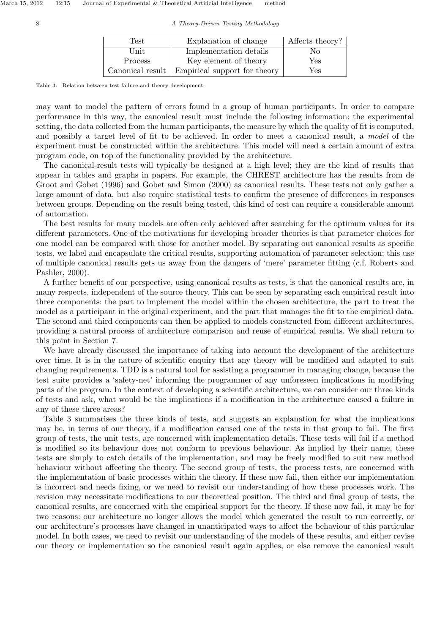| Test                  | Explanation of change        | Affects theory? |
|-----------------------|------------------------------|-----------------|
| $\operatorname{Unit}$ | Implementation details       | No              |
| Process               | Key element of theory        | Yes             |
| Canonical result      | Empirical support for theory | Yes             |

Table 3. Relation between test failure and theory development.

may want to model the pattern of errors found in a group of human participants. In order to compare performance in this way, the canonical result must include the following information: the experimental setting, the data collected from the human participants, the measure by which the quality of fit is computed, and possibly a target level of fit to be achieved. In order to meet a canonical result, a model of the experiment must be constructed within the architecture. This model will need a certain amount of extra program code, on top of the functionality provided by the architecture.

The canonical-result tests will typically be designed at a high level; they are the kind of results that appear in tables and graphs in papers. For example, the CHREST architecture has the results from de Groot and Gobet (1996) and Gobet and Simon (2000) as canonical results. These tests not only gather a large amount of data, but also require statistical tests to confirm the presence of differences in responses between groups. Depending on the result being tested, this kind of test can require a considerable amount of automation.

The best results for many models are often only achieved after searching for the optimum values for its different parameters. One of the motivations for developing broader theories is that parameter choices for one model can be compared with those for another model. By separating out canonical results as specific tests, we label and encapsulate the critical results, supporting automation of parameter selection; this use of multiple canonical results gets us away from the dangers of 'mere' parameter fitting (c.f. Roberts and Pashler, 2000).

A further benefit of our perspective, using canonical results as tests, is that the canonical results are, in many respects, independent of the source theory. This can be seen by separating each empirical result into three components: the part to implement the model within the chosen architecture, the part to treat the model as a participant in the original experiment, and the part that manages the fit to the empirical data. The second and third components can then be applied to models constructed from different architectures, providing a natural process of architecture comparison and reuse of empirical results. We shall return to this point in Section 7.

We have already discussed the importance of taking into account the development of the architecture over time. It is in the nature of scientific enquiry that any theory will be modified and adapted to suit changing requirements. TDD is a natural tool for assisting a programmer in managing change, because the test suite provides a 'safety-net' informing the programmer of any unforeseen implications in modifying parts of the program. In the context of developing a scientific architecture, we can consider our three kinds of tests and ask, what would be the implications if a modification in the architecture caused a failure in any of these three areas?

Table 3 summarises the three kinds of tests, and suggests an explanation for what the implications may be, in terms of our theory, if a modification caused one of the tests in that group to fail. The first group of tests, the unit tests, are concerned with implementation details. These tests will fail if a method is modified so its behaviour does not conform to previous behaviour. As implied by their name, these tests are simply to catch details of the implementation, and may be freely modified to suit new method behaviour without affecting the theory. The second group of tests, the process tests, are concerned with the implementation of basic processes within the theory. If these now fail, then either our implementation is incorrect and needs fixing, or we need to revisit our understanding of how these processes work. The revision may necessitate modifications to our theoretical position. The third and final group of tests, the canonical results, are concerned with the empirical support for the theory. If these now fail, it may be for two reasons: our architecture no longer allows the model which generated the result to run correctly, or our architecture's processes have changed in unanticipated ways to affect the behaviour of this particular model. In both cases, we need to revisit our understanding of the models of these results, and either revise our theory or implementation so the canonical result again applies, or else remove the canonical result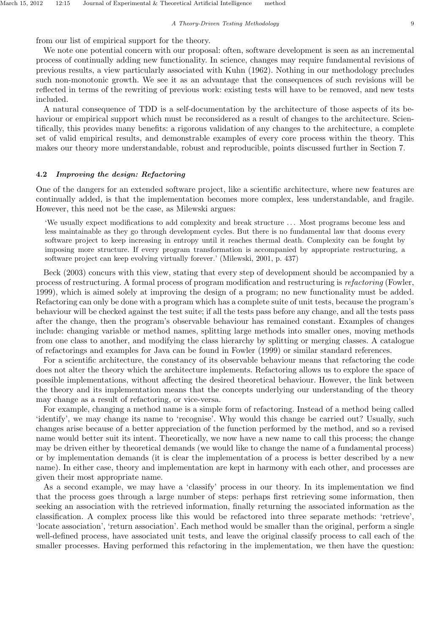from our list of empirical support for the theory.

We note one potential concern with our proposal: often, software development is seen as an incremental process of continually adding new functionality. In science, changes may require fundamental revisions of previous results, a view particularly associated with Kuhn (1962). Nothing in our methodology precludes such non-monotonic growth. We see it as an advantage that the consequences of such revisions will be reflected in terms of the rewriting of previous work: existing tests will have to be removed, and new tests included.

A natural consequence of TDD is a self-documentation by the architecture of those aspects of its behaviour or empirical support which must be reconsidered as a result of changes to the architecture. Scientifically, this provides many benefits: a rigorous validation of any changes to the architecture, a complete set of valid empirical results, and demonstrable examples of every core process within the theory. This makes our theory more understandable, robust and reproducible, points discussed further in Section 7.

### 4.2 *Improving the design: Refactoring*

One of the dangers for an extended software project, like a scientific architecture, where new features are continually added, is that the implementation becomes more complex, less understandable, and fragile. However, this need not be the case, as Milewski argues:

'We usually expect modifications to add complexity and break structure . . . Most programs become less and less maintainable as they go through development cycles. But there is no fundamental law that dooms every software project to keep increasing in entropy until it reaches thermal death. Complexity can be fought by imposing more structure. If every program transformation is accompanied by appropriate restructuring, a software project can keep evolving virtually forever.' (Milewski, 2001, p. 437)

Beck (2003) concurs with this view, stating that every step of development should be accompanied by a process of restructuring. A formal process of program modification and restructuring is refactoring (Fowler, 1999), which is aimed solely at improving the design of a program; no new functionality must be added. Refactoring can only be done with a program which has a complete suite of unit tests, because the program's behaviour will be checked against the test suite; if all the tests pass before any change, and all the tests pass after the change, then the program's observable behaviour has remained constant. Examples of changes include: changing variable or method names, splitting large methods into smaller ones, moving methods from one class to another, and modifying the class hierarchy by splitting or merging classes. A catalogue of refactorings and examples for Java can be found in Fowler (1999) or similar standard references.

For a scientific architecture, the constancy of its observable behaviour means that refactoring the code does not alter the theory which the architecture implements. Refactoring allows us to explore the space of possible implementations, without affecting the desired theoretical behaviour. However, the link between the theory and its implementation means that the concepts underlying our understanding of the theory may change as a result of refactoring, or vice-versa.

For example, changing a method name is a simple form of refactoring. Instead of a method being called 'identify', we may change its name to 'recognise'. Why would this change be carried out? Usually, such changes arise because of a better appreciation of the function performed by the method, and so a revised name would better suit its intent. Theoretically, we now have a new name to call this process; the change may be driven either by theoretical demands (we would like to change the name of a fundamental process) or by implementation demands (it is clear the implementation of a process is better described by a new name). In either case, theory and implementation are kept in harmony with each other, and processes are given their most appropriate name.

As a second example, we may have a 'classify' process in our theory. In its implementation we find that the process goes through a large number of steps: perhaps first retrieving some information, then seeking an association with the retrieved information, finally returning the associated information as the classification. A complex process like this would be refactored into three separate methods: 'retrieve', 'locate association', 'return association'. Each method would be smaller than the original, perform a single well-defined process, have associated unit tests, and leave the original classify process to call each of the smaller processes. Having performed this refactoring in the implementation, we then have the question: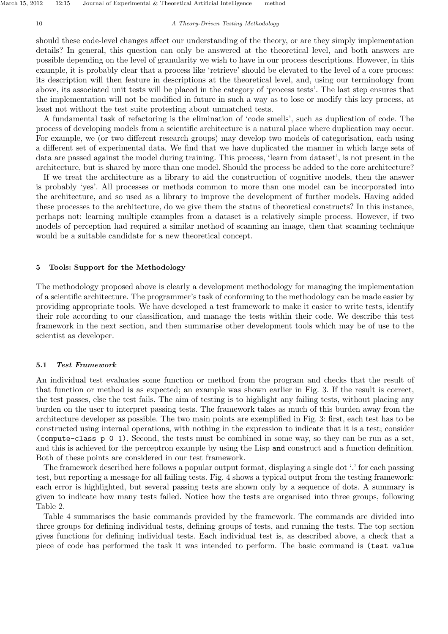should these code-level changes affect our understanding of the theory, or are they simply implementation details? In general, this question can only be answered at the theoretical level, and both answers are possible depending on the level of granularity we wish to have in our process descriptions. However, in this example, it is probably clear that a process like 'retrieve' should be elevated to the level of a core process: its description will then feature in descriptions at the theoretical level, and, using our terminology from above, its associated unit tests will be placed in the category of 'process tests'. The last step ensures that the implementation will not be modified in future in such a way as to lose or modify this key process, at least not without the test suite protesting about unmatched tests.

A fundamental task of refactoring is the elimination of 'code smells', such as duplication of code. The process of developing models from a scientific architecture is a natural place where duplication may occur. For example, we (or two different research groups) may develop two models of categorisation, each using a different set of experimental data. We find that we have duplicated the manner in which large sets of data are passed against the model during training. This process, 'learn from dataset', is not present in the architecture, but is shared by more than one model. Should the process be added to the core architecture?

If we treat the architecture as a library to aid the construction of cognitive models, then the answer is probably 'yes'. All processes or methods common to more than one model can be incorporated into the architecture, and so used as a library to improve the development of further models. Having added these processes to the architecture, do we give them the status of theoretical constructs? In this instance, perhaps not: learning multiple examples from a dataset is a relatively simple process. However, if two models of perception had required a similar method of scanning an image, then that scanning technique would be a suitable candidate for a new theoretical concept.

# 5 Tools: Support for the Methodology

The methodology proposed above is clearly a development methodology for managing the implementation of a scientific architecture. The programmer's task of conforming to the methodology can be made easier by providing appropriate tools. We have developed a test framework to make it easier to write tests, identify their role according to our classification, and manage the tests within their code. We describe this test framework in the next section, and then summarise other development tools which may be of use to the scientist as developer.

### 5.1 *Test Framework*

An individual test evaluates some function or method from the program and checks that the result of that function or method is as expected; an example was shown earlier in Fig. 3. If the result is correct, the test passes, else the test fails. The aim of testing is to highlight any failing tests, without placing any burden on the user to interpret passing tests. The framework takes as much of this burden away from the architecture developer as possible. The two main points are exemplified in Fig. 3: first, each test has to be constructed using internal operations, with nothing in the expression to indicate that it is a test; consider (compute-class p 0 1). Second, the tests must be combined in some way, so they can be run as a set, and this is achieved for the perceptron example by using the Lisp and construct and a function definition. Both of these points are considered in our test framework.

The framework described here follows a popular output format, displaying a single dot '.' for each passing test, but reporting a message for all failing tests. Fig. 4 shows a typical output from the testing framework: each error is highlighted, but several passing tests are shown only by a sequence of dots. A summary is given to indicate how many tests failed. Notice how the tests are organised into three groups, following Table 2.

Table 4 summarises the basic commands provided by the framework. The commands are divided into three groups for defining individual tests, defining groups of tests, and running the tests. The top section gives functions for defining individual tests. Each individual test is, as described above, a check that a piece of code has performed the task it was intended to perform. The basic command is (test value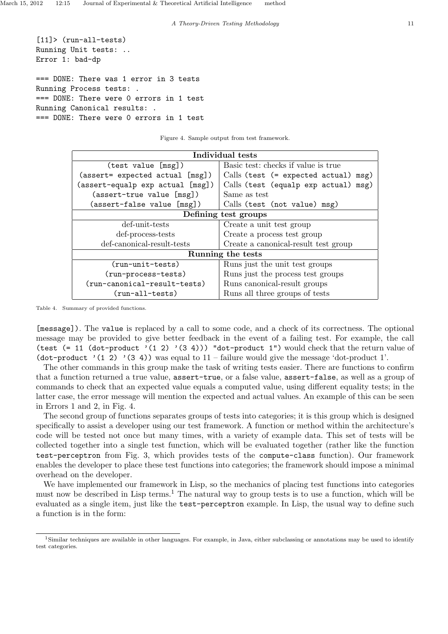```
[11]> (run-all-tests)
Running Unit tests: ..
Error 1: bad-dp
=== DONE: There was 1 error in 3 tests
Running Process tests: .
=== DONE: There were 0 errors in 1 test
Running Canonical results: .
=== DONE: There were 0 errors in 1 test
```
Figure 4. Sample output from test framework.

| <b>Individual tests</b>          |                                         |  |  |  |  |  |
|----------------------------------|-----------------------------------------|--|--|--|--|--|
| (test value [msg])               | Basic test: checks if value is true     |  |  |  |  |  |
| (assert= expected actual [msg])  | Calls (test $(= expected actual)$ msg)  |  |  |  |  |  |
| (assert-equalp exp actual [msg]) | Calls (test (equalp exp actual)<br>msg) |  |  |  |  |  |
| (assert-true value [msg])        | Same as test                            |  |  |  |  |  |
| (assert-false value [msg])       | Calls (test (not value) msg)            |  |  |  |  |  |
| Defining test groups             |                                         |  |  |  |  |  |
| def-unit-tests                   | Create a unit test group                |  |  |  |  |  |
| def-process-tests                | Create a process test group             |  |  |  |  |  |
| def-canonical-result-tests       | Create a canonical-result test group    |  |  |  |  |  |
| Running the tests                |                                         |  |  |  |  |  |
| (run-unit-tests)                 | Runs just the unit test groups          |  |  |  |  |  |
| (run-process-tests)              | Runs just the process test groups       |  |  |  |  |  |
| (run-canonical-result-tests)     | Runs canonical-result groups            |  |  |  |  |  |
| $(run-all-tests)$                | Runs all three groups of tests          |  |  |  |  |  |

Table 4. Summary of provided functions.

[message]). The value is replaced by a call to some code, and a check of its correctness. The optional message may be provided to give better feedback in the event of a failing test. For example, the call (test (= 11 (dot-product '(1 2) '(3 4))) "dot-product 1") would check that the return value of (dot-product '(1 2) '(3 4)) was equal to  $11$  – failure would give the message 'dot-product 1'.

The other commands in this group make the task of writing tests easier. There are functions to confirm that a function returned a true value, assert-true, or a false value, assert-false, as well as a group of commands to check that an expected value equals a computed value, using different equality tests; in the latter case, the error message will mention the expected and actual values. An example of this can be seen in Errors 1 and 2, in Fig. 4.

The second group of functions separates groups of tests into categories; it is this group which is designed specifically to assist a developer using our test framework. A function or method within the architecture's code will be tested not once but many times, with a variety of example data. This set of tests will be collected together into a single test function, which will be evaluated together (rather like the function test-perceptron from Fig. 3, which provides tests of the compute-class function). Our framework enables the developer to place these test functions into categories; the framework should impose a minimal overhead on the developer.

We have implemented our framework in Lisp, so the mechanics of placing test functions into categories must now be described in Lisp terms.<sup>1</sup> The natural way to group tests is to use a function, which will be evaluated as a single item, just like the test-perceptron example. In Lisp, the usual way to define such a function is in the form:

<sup>&</sup>lt;sup>1</sup>Similar techniques are available in other languages. For example, in Java, either subclassing or annotations may be used to identify test categories.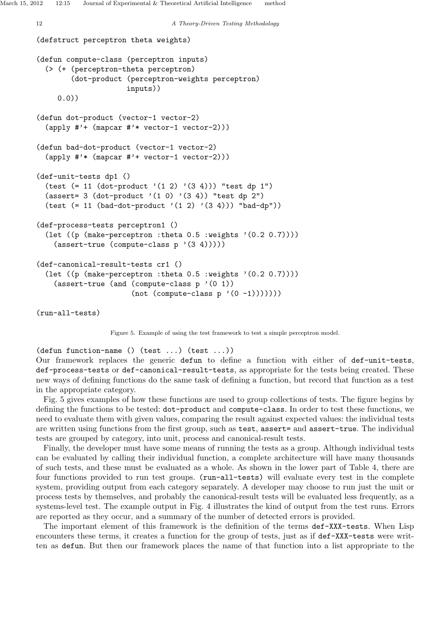```
12 A Theory-Driven Testing Methodology
(defstruct perceptron theta weights)
(defun compute-class (perceptron inputs)
  (> (+ (perceptron-theta perceptron)
        (dot-product (perceptron-weights perceptron)
                     inputs))
     0.0))
(defun dot-product (vector-1 vector-2)
  (apply #'+ (mapcar #'* vector-1 vector-2)))
(defun bad-dot-product (vector-1 vector-2)
  (apply #'* (mapcar #'+ vector-1 vector-2)))
(def-unit-tests dp1 ()
  (test (= 11 (dot-product)'(1 2)'(3 4)) "test dp 1")
  (assert= 3 (dot-product '(1\ 0) '(3\ 4)) "test dp 2")
  (test (= 11 \text{ (bad-dot-product } '(1 2) ' (3 4))) "bad-dp"))
(def-process-tests perceptron1 ()
  (let ((p (make-perceptron :theta 0.5 :weights '(0.2 0.7))))
    (assert-true (compute-class p' (3 4)))))
(def-canonical-result-tests cr1 ()
  (let ((p (make-perceptron :theta 0.5 :weights '(0.2 0.7))))
    (assert-true (and (compute-class p '(0 1))
                      (not (compute-class p' (0 -1)))))))
(run-all-tests)
```
Figure 5. Example of using the test framework to test a simple perceptron model.

(defun function-name () (test ...) (test ...))

Our framework replaces the generic defun to define a function with either of def-unit-tests, def-process-tests or def-canonical-result-tests, as appropriate for the tests being created. These new ways of defining functions do the same task of defining a function, but record that function as a test in the appropriate category.

Fig. 5 gives examples of how these functions are used to group collections of tests. The figure begins by defining the functions to be tested: dot-product and compute-class. In order to test these functions, we need to evaluate them with given values, comparing the result against expected values: the individual tests are written using functions from the first group, such as test, assert= and assert-true. The individual tests are grouped by category, into unit, process and canonical-result tests.

Finally, the developer must have some means of running the tests as a group. Although individual tests can be evaluated by calling their individual function, a complete architecture will have many thousands of such tests, and these must be evaluated as a whole. As shown in the lower part of Table 4, there are four functions provided to run test groups. (run-all-tests) will evaluate every test in the complete system, providing output from each category separately. A developer may choose to run just the unit or process tests by themselves, and probably the canonical-result tests will be evaluated less frequently, as a systems-level test. The example output in Fig. 4 illustrates the kind of output from the test runs. Errors are reported as they occur, and a summary of the number of detected errors is provided.

The important element of this framework is the definition of the terms def-XXX-tests. When Lisp encounters these terms, it creates a function for the group of tests, just as if def-XXX-tests were written as defun. But then our framework places the name of that function into a list appropriate to the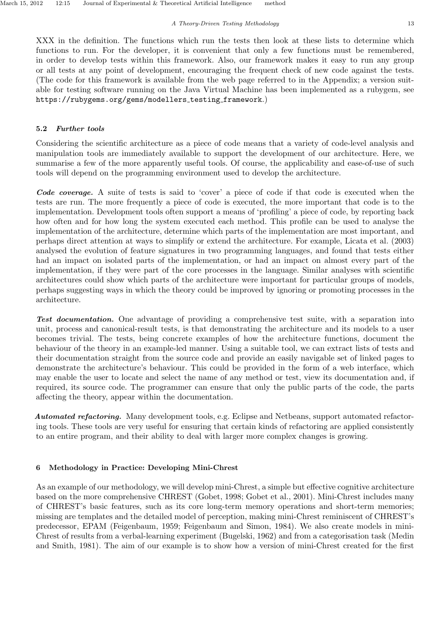XXX in the definition. The functions which run the tests then look at these lists to determine which functions to run. For the developer, it is convenient that only a few functions must be remembered, in order to develop tests within this framework. Also, our framework makes it easy to run any group or all tests at any point of development, encouraging the frequent check of new code against the tests. (The code for this framework is available from the web page referred to in the Appendix; a version suitable for testing software running on the Java Virtual Machine has been implemented as a rubygem, see https://rubygems.org/gems/modellers\_testing\_framework.)

# 5.2 *Further tools*

Considering the scientific architecture as a piece of code means that a variety of code-level analysis and manipulation tools are immediately available to support the development of our architecture. Here, we summarise a few of the more apparently useful tools. Of course, the applicability and ease-of-use of such tools will depend on the programming environment used to develop the architecture.

*Code coverage.* A suite of tests is said to 'cover' a piece of code if that code is executed when the tests are run. The more frequently a piece of code is executed, the more important that code is to the implementation. Development tools often support a means of 'profiling' a piece of code, by reporting back how often and for how long the system executed each method. This profile can be used to analyse the implementation of the architecture, determine which parts of the implementation are most important, and perhaps direct attention at ways to simplify or extend the architecture. For example, Licata et al. (2003) analysed the evolution of feature signatures in two programming languages, and found that tests either had an impact on isolated parts of the implementation, or had an impact on almost every part of the implementation, if they were part of the core processes in the language. Similar analyses with scientific architectures could show which parts of the architecture were important for particular groups of models, perhaps suggesting ways in which the theory could be improved by ignoring or promoting processes in the architecture.

*Test documentation.* One advantage of providing a comprehensive test suite, with a separation into unit, process and canonical-result tests, is that demonstrating the architecture and its models to a user becomes trivial. The tests, being concrete examples of how the architecture functions, document the behaviour of the theory in an example-led manner. Using a suitable tool, we can extract lists of tests and their documentation straight from the source code and provide an easily navigable set of linked pages to demonstrate the architecture's behaviour. This could be provided in the form of a web interface, which may enable the user to locate and select the name of any method or test, view its documentation and, if required, its source code. The programmer can ensure that only the public parts of the code, the parts affecting the theory, appear within the documentation.

*Automated refactoring.* Many development tools, e.g. Eclipse and Netbeans, support automated refactoring tools. These tools are very useful for ensuring that certain kinds of refactoring are applied consistently to an entire program, and their ability to deal with larger more complex changes is growing.

# 6 Methodology in Practice: Developing Mini-Chrest

As an example of our methodology, we will develop mini-Chrest, a simple but effective cognitive architecture based on the more comprehensive CHREST (Gobet, 1998; Gobet et al., 2001). Mini-Chrest includes many of CHREST's basic features, such as its core long-term memory operations and short-term memories; missing are templates and the detailed model of perception, making mini-Chrest reminiscent of CHREST's predecessor, EPAM (Feigenbaum, 1959; Feigenbaum and Simon, 1984). We also create models in mini-Chrest of results from a verbal-learning experiment (Bugelski, 1962) and from a categorisation task (Medin and Smith, 1981). The aim of our example is to show how a version of mini-Chrest created for the first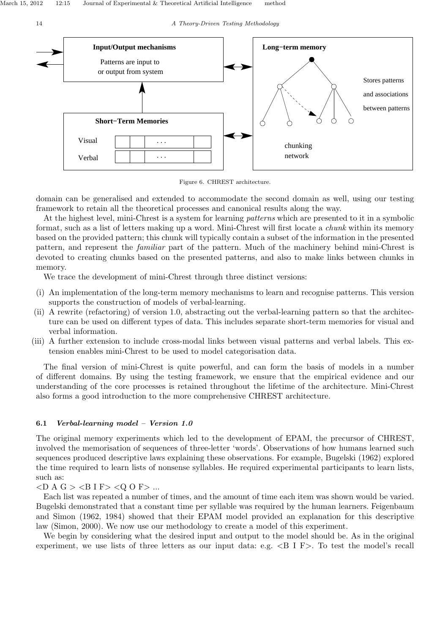

Figure 6. CHREST architecture.

domain can be generalised and extended to accommodate the second domain as well, using our testing framework to retain all the theoretical processes and canonical results along the way.

At the highest level, mini-Chrest is a system for learning patterns which are presented to it in a symbolic format, such as a list of letters making up a word. Mini-Chrest will first locate a chunk within its memory based on the provided pattern; this chunk will typically contain a subset of the information in the presented pattern, and represent the familiar part of the pattern. Much of the machinery behind mini-Chrest is devoted to creating chunks based on the presented patterns, and also to make links between chunks in memory.

We trace the development of mini-Chrest through three distinct versions:

- (i) An implementation of the long-term memory mechanisms to learn and recognise patterns. This version supports the construction of models of verbal-learning.
- (ii) A rewrite (refactoring) of version 1.0, abstracting out the verbal-learning pattern so that the architecture can be used on different types of data. This includes separate short-term memories for visual and verbal information.
- (iii) A further extension to include cross-modal links between visual patterns and verbal labels. This extension enables mini-Chrest to be used to model categorisation data.

The final version of mini-Chrest is quite powerful, and can form the basis of models in a number of different domains. By using the testing framework, we ensure that the empirical evidence and our understanding of the core processes is retained throughout the lifetime of the architecture. Mini-Chrest also forms a good introduction to the more comprehensive CHREST architecture.

# 6.1 *Verbal-learning model – Version 1.0*

The original memory experiments which led to the development of EPAM, the precursor of CHREST, involved the memorisation of sequences of three-letter 'words'. Observations of how humans learned such sequences produced descriptive laws explaining these observations. For example, Bugelski (1962) explored the time required to learn lists of nonsense syllables. He required experimental participants to learn lists, such as:

 $\langle$ D A G  $>$   $\langle$ B I F $>$   $\langle$ Q O F $>$  ...

Each list was repeated a number of times, and the amount of time each item was shown would be varied. Bugelski demonstrated that a constant time per syllable was required by the human learners. Feigenbaum and Simon (1962, 1984) showed that their EPAM model provided an explanation for this descriptive law (Simon, 2000). We now use our methodology to create a model of this experiment.

We begin by considering what the desired input and output to the model should be. As in the original experiment, we use lists of three letters as our input data: e.g. <B I F>. To test the model's recall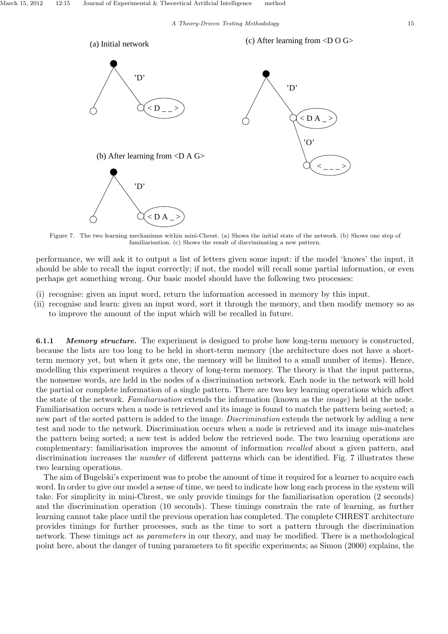

Figure 7. The two learning mechanisms within mini-Chrest. (a) Shows the initial state of the network. (b) Shows one step of familiarisation. (c) Shows the result of discriminating a new pattern.

performance, we will ask it to output a list of letters given some input: if the model 'knows' the input, it should be able to recall the input correctly; if not, the model will recall some partial information, or even perhaps get something wrong. Our basic model should have the following two processes:

- (i) recognise: given an input word, return the information accessed in memory by this input.
- (ii) recognise and learn: given an input word, sort it through the memory, and then modify memory so as to improve the amount of the input which will be recalled in future.

6.1.1 **Memory structure.** The experiment is designed to probe how long-term memory is constructed, because the lists are too long to be held in short-term memory (the architecture does not have a shortterm memory yet, but when it gets one, the memory will be limited to a small number of items). Hence, modelling this experiment requires a theory of long-term memory. The theory is that the input patterns, the nonsense words, are held in the nodes of a discrimination network. Each node in the network will hold the partial or complete information of a single pattern. There are two key learning operations which affect the state of the network. Familiarisation extends the information (known as the image) held at the node. Familiarisation occurs when a node is retrieved and its image is found to match the pattern being sorted; a new part of the sorted pattern is added to the image. Discrimination extends the network by adding a new test and node to the network. Discrimination occurs when a node is retrieved and its image mis-matches the pattern being sorted; a new test is added below the retrieved node. The two learning operations are complementary: familiarisation improves the amount of information recalled about a given pattern, and discrimination increases the *number* of different patterns which can be identified. Fig. 7 illustrates these two learning operations.

The aim of Bugelski's experiment was to probe the amount of time it required for a learner to acquire each word. In order to give our model a sense of time, we need to indicate how long each process in the system will take. For simplicity in mini-Chrest, we only provide timings for the familiarisation operation (2 seconds) and the discrimination operation (10 seconds). These timings constrain the rate of learning, as further learning cannot take place until the previous operation has completed. The complete CHREST architecture provides timings for further processes, such as the time to sort a pattern through the discrimination network. These timings act as *parameters* in our theory, and may be modified. There is a methodological point here, about the danger of tuning parameters to fit specific experiments; as Simon (2000) explains, the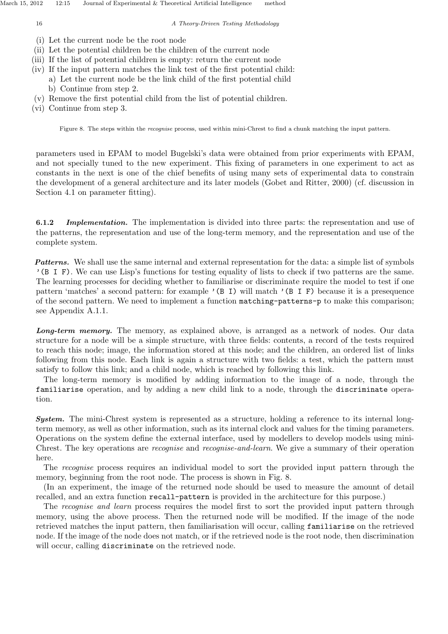- (i) Let the current node be the root node
- (ii) Let the potential children be the children of the current node
- (iii) If the list of potential children is empty: return the current node
- (iv) If the input pattern matches the link test of the first potential child:
	- a) Let the current node be the link child of the first potential child
		- b) Continue from step 2.
- (v) Remove the first potential child from the list of potential children.
- (vi) Continue from step 3.

Figure 8. The steps within the *recognise* process, used within mini-Chrest to find a chunk matching the input pattern.

parameters used in EPAM to model Bugelski's data were obtained from prior experiments with EPAM, and not specially tuned to the new experiment. This fixing of parameters in one experiment to act as constants in the next is one of the chief benefits of using many sets of experimental data to constrain the development of a general architecture and its later models (Gobet and Ritter, 2000) (cf. discussion in Section 4.1 on parameter fitting).

6.1.2 *Implementation.* The implementation is divided into three parts: the representation and use of the patterns, the representation and use of the long-term memory, and the representation and use of the complete system.

*Patterns.* We shall use the same internal and external representation for the data: a simple list of symbols '(B I F). We can use Lisp's functions for testing equality of lists to check if two patterns are the same. The learning processes for deciding whether to familiarise or discriminate require the model to test if one pattern 'matches' a second pattern: for example '(B I) will match '(B I F) because it is a presequence of the second pattern. We need to implement a function matching-patterns-p to make this comparison; see Appendix A.1.1.

*Long-term memory.* The memory, as explained above, is arranged as a network of nodes. Our data structure for a node will be a simple structure, with three fields: contents, a record of the tests required to reach this node; image, the information stored at this node; and the children, an ordered list of links following from this node. Each link is again a structure with two fields: a test, which the pattern must satisfy to follow this link; and a child node, which is reached by following this link.

The long-term memory is modified by adding information to the image of a node, through the familiarise operation, and by adding a new child link to a node, through the discriminate operation.

*System.* The mini-Chrest system is represented as a structure, holding a reference to its internal longterm memory, as well as other information, such as its internal clock and values for the timing parameters. Operations on the system define the external interface, used by modellers to develop models using mini-Chrest. The key operations are recognise and recognise-and-learn. We give a summary of their operation here.

The recognise process requires an individual model to sort the provided input pattern through the memory, beginning from the root node. The process is shown in Fig. 8.

(In an experiment, the image of the returned node should be used to measure the amount of detail recalled, and an extra function recall-pattern is provided in the architecture for this purpose.)

The *recognise and learn* process requires the model first to sort the provided input pattern through memory, using the above process. Then the returned node will be modified. If the image of the node retrieved matches the input pattern, then familiarisation will occur, calling familiarise on the retrieved node. If the image of the node does not match, or if the retrieved node is the root node, then discrimination will occur, calling discriminate on the retrieved node.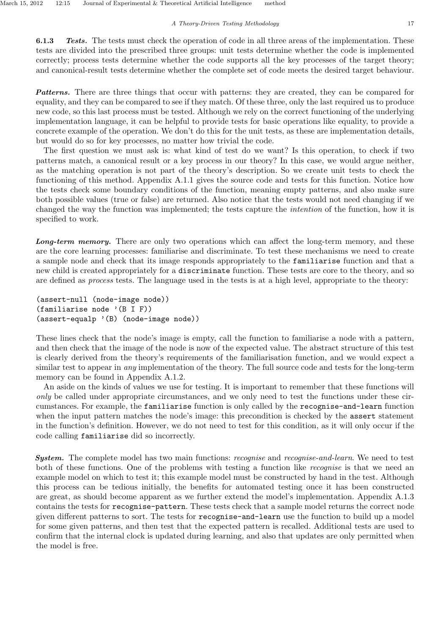6.1.3 *Tests.* The tests must check the operation of code in all three areas of the implementation. These tests are divided into the prescribed three groups: unit tests determine whether the code is implemented correctly; process tests determine whether the code supports all the key processes of the target theory; and canonical-result tests determine whether the complete set of code meets the desired target behaviour.

**Patterns.** There are three things that occur with patterns: they are created, they can be compared for equality, and they can be compared to see if they match. Of these three, only the last required us to produce new code, so this last process must be tested. Although we rely on the correct functioning of the underlying implementation language, it can be helpful to provide tests for basic operations like equality, to provide a concrete example of the operation. We don't do this for the unit tests, as these are implementation details, but would do so for key processes, no matter how trivial the code.

The first question we must ask is: what kind of test do we want? Is this operation, to check if two patterns match, a canonical result or a key process in our theory? In this case, we would argue neither, as the matching operation is not part of the theory's description. So we create unit tests to check the functioning of this method. Appendix A.1.1 gives the source code and tests for this function. Notice how the tests check some boundary conditions of the function, meaning empty patterns, and also make sure both possible values (true or false) are returned. Also notice that the tests would not need changing if we changed the way the function was implemented; the tests capture the intention of the function, how it is specified to work.

*Long-term memory.* There are only two operations which can affect the long-term memory, and these are the core learning processes: familiarise and discriminate. To test these mechanisms we need to create a sample node and check that its image responds appropriately to the familiarise function and that a new child is created appropriately for a discriminate function. These tests are core to the theory, and so are defined as *process* tests. The language used in the tests is at a high level, appropriate to the theory:

```
(assert-null (node-image node))
(familiarise node '(B I F))
(assert-equalp '(B) (node-image node))
```
These lines check that the node's image is empty, call the function to familiarise a node with a pattern, and then check that the image of the node is now of the expected value. The abstract structure of this test is clearly derived from the theory's requirements of the familiarisation function, and we would expect a similar test to appear in *any* implementation of the theory. The full source code and tests for the long-term memory can be found in Appendix A.1.2.

An aside on the kinds of values we use for testing. It is important to remember that these functions will only be called under appropriate circumstances, and we only need to test the functions under these circumstances. For example, the familiarise function is only called by the recognise-and-learn function when the input pattern matches the node's image: this precondition is checked by the assert statement in the function's definition. However, we do not need to test for this condition, as it will only occur if the code calling familiarise did so incorrectly.

**System.** The complete model has two main functions: *recognise* and *recognise-and-learn*. We need to test both of these functions. One of the problems with testing a function like *recognise* is that we need an example model on which to test it; this example model must be constructed by hand in the test. Although this process can be tedious initially, the benefits for automated testing once it has been constructed are great, as should become apparent as we further extend the model's implementation. Appendix A.1.3 contains the tests for recognise-pattern. These tests check that a sample model returns the correct node given different patterns to sort. The tests for recognise-and-learn use the function to build up a model for some given patterns, and then test that the expected pattern is recalled. Additional tests are used to confirm that the internal clock is updated during learning, and also that updates are only permitted when the model is free.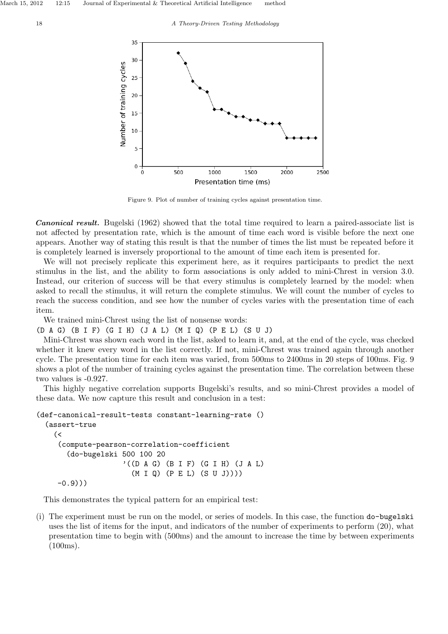

Figure 9. Plot of number of training cycles against presentation time.

*Canonical result.* Bugelski (1962) showed that the total time required to learn a paired-associate list is not affected by presentation rate, which is the amount of time each word is visible before the next one appears. Another way of stating this result is that the number of times the list must be repeated before it is completely learned is inversely proportional to the amount of time each item is presented for.

We will not precisely replicate this experiment here, as it requires participants to predict the next stimulus in the list, and the ability to form associations is only added to mini-Chrest in version 3.0. Instead, our criterion of success will be that every stimulus is completely learned by the model: when asked to recall the stimulus, it will return the complete stimulus. We will count the number of cycles to reach the success condition, and see how the number of cycles varies with the presentation time of each item.

We trained mini-Chrest using the list of nonsense words:

(D A G) (B I F) (G I H) (J A L) (M I Q) (P E L) (S U J)

Mini-Chrest was shown each word in the list, asked to learn it, and, at the end of the cycle, was checked whether it knew every word in the list correctly. If not, mini-Chrest was trained again through another cycle. The presentation time for each item was varied, from 500ms to 2400ms in 20 steps of 100ms. Fig. 9 shows a plot of the number of training cycles against the presentation time. The correlation between these two values is -0.927.

This highly negative correlation supports Bugelski's results, and so mini-Chrest provides a model of these data. We now capture this result and conclusion in a test:

```
(def-canonical-result-tests constant-learning-rate ()
  (assert-true
    ((compute-pearson-correlation-coefficient
       (do-bugelski 500 100 20
                    '((D A G) (B I F) (G I H) (J A L)
                      (M I Q) (P E L) (S U J))))
```

```
-0.9))
```
This demonstrates the typical pattern for an empirical test:

(i) The experiment must be run on the model, or series of models. In this case, the function do-bugelski uses the list of items for the input, and indicators of the number of experiments to perform (20), what presentation time to begin with (500ms) and the amount to increase the time by between experiments (100ms).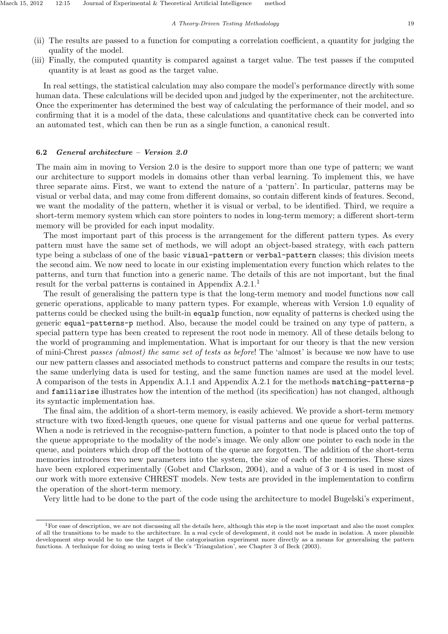(iii) Finally, the computed quantity is compared against a target value. The test passes if the computed quantity is at least as good as the target value.

In real settings, the statistical calculation may also compare the model's performance directly with some human data. These calculations will be decided upon and judged by the experimenter, not the architecture. Once the experimenter has determined the best way of calculating the performance of their model, and so confirming that it is a model of the data, these calculations and quantitative check can be converted into an automated test, which can then be run as a single function, a canonical result.

# 6.2 *General architecture – Version 2.0*

The main aim in moving to Version 2.0 is the desire to support more than one type of pattern; we want our architecture to support models in domains other than verbal learning. To implement this, we have three separate aims. First, we want to extend the nature of a 'pattern'. In particular, patterns may be visual or verbal data, and may come from different domains, so contain different kinds of features. Second, we want the modality of the pattern, whether it is visual or verbal, to be identified. Third, we require a short-term memory system which can store pointers to nodes in long-term memory; a different short-term memory will be provided for each input modality.

The most important part of this process is the arrangement for the different pattern types. As every pattern must have the same set of methods, we will adopt an object-based strategy, with each pattern type being a subclass of one of the basic visual-pattern or verbal-pattern classes; this division meets the second aim. We now need to locate in our existing implementation every function which relates to the patterns, and turn that function into a generic name. The details of this are not important, but the final result for the verbal patterns is contained in Appendix A.2.1.<sup>1</sup>

The result of generalising the pattern type is that the long-term memory and model functions now call generic operations, applicable to many pattern types. For example, whereas with Version 1.0 equality of patterns could be checked using the built-in equalp function, now equality of patterns is checked using the generic equal-patterns-p method. Also, because the model could be trained on any type of pattern, a special pattern type has been created to represent the root node in memory. All of these details belong to the world of programming and implementation. What is important for our theory is that the new version of mini-Chrest passes (almost) the same set of tests as before! The 'almost' is because we now have to use our new pattern classes and associated methods to construct patterns and compare the results in our tests; the same underlying data is used for testing, and the same function names are used at the model level. A comparison of the tests in Appendix A.1.1 and Appendix A.2.1 for the methods matching-patterns-p and familiarise illustrates how the intention of the method (its specification) has not changed, although its syntactic implementation has.

The final aim, the addition of a short-term memory, is easily achieved. We provide a short-term memory structure with two fixed-length queues, one queue for visual patterns and one queue for verbal patterns. When a node is retrieved in the recognise-pattern function, a pointer to that node is placed onto the top of the queue appropriate to the modality of the node's image. We only allow one pointer to each node in the queue, and pointers which drop off the bottom of the queue are forgotten. The addition of the short-term memories introduces two new parameters into the system, the size of each of the memories. These sizes have been explored experimentally (Gobet and Clarkson, 2004), and a value of 3 or 4 is used in most of our work with more extensive CHREST models. New tests are provided in the implementation to confirm the operation of the short-term memory.

Very little had to be done to the part of the code using the architecture to model Bugelski's experiment,

<sup>&</sup>lt;sup>1</sup>For ease of description, we are not discussing all the details here, although this step is the most important and also the most complex of all the transitions to be made to the architecture. In a real cycle of development, it could not be made in isolation. A more plausible development step would be to use the target of the categorisation experiment more directly as a means for generalising the pattern functions. A technique for doing so using tests is Beck's 'Triangulation', see Chapter 3 of Beck (2003).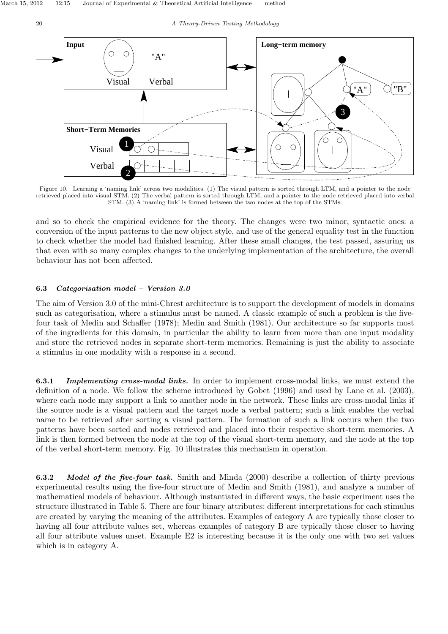





Figure 10. Learning a 'naming link' across two modalities. (1) The visual pattern is sorted through LTM, and a pointer to the node retrieved placed into visual STM. (2) The verbal pattern is sorted through LTM, and a pointer to the node retrieved placed into verbal STM. (3) A 'naming link' is formed between the two nodes at the top of the STMs.

and so to check the empirical evidence for the theory. The changes were two minor, syntactic ones: a conversion of the input patterns to the new object style, and use of the general equality test in the function to check whether the model had finished learning. After these small changes, the test passed, assuring us that even with so many complex changes to the underlying implementation of the architecture, the overall behaviour has not been affected.

# 6.3 *Categorisation model – Version 3.0*

The aim of Version 3.0 of the mini-Chrest architecture is to support the development of models in domains such as categorisation, where a stimulus must be named. A classic example of such a problem is the fivefour task of Medin and Schaffer (1978); Medin and Smith (1981). Our architecture so far supports most of the ingredients for this domain, in particular the ability to learn from more than one input modality and store the retrieved nodes in separate short-term memories. Remaining is just the ability to associate a stimulus in one modality with a response in a second.

6.3.1 *Implementing cross-modal links.* In order to implement cross-modal links, we must extend the definition of a node. We follow the scheme introduced by Gobet (1996) and used by Lane et al. (2003), where each node may support a link to another node in the network. These links are cross-modal links if the source node is a visual pattern and the target node a verbal pattern; such a link enables the verbal name to be retrieved after sorting a visual pattern. The formation of such a link occurs when the two patterns have been sorted and nodes retrieved and placed into their respective short-term memories. A link is then formed between the node at the top of the visual short-term memory, and the node at the top of the verbal short-term memory. Fig. 10 illustrates this mechanism in operation.

6.3.2 *Model of the five-four task.* Smith and Minda (2000) describe a collection of thirty previous experimental results using the five-four structure of Medin and Smith (1981), and analyze a number of mathematical models of behaviour. Although instantiated in different ways, the basic experiment uses the structure illustrated in Table 5. There are four binary attributes: different interpretations for each stimulus are created by varying the meaning of the attributes. Examples of category A are typically those closer to having all four attribute values set, whereas examples of category B are typically those closer to having all four attribute values unset. Example E2 is interesting because it is the only one with two set values which is in category A.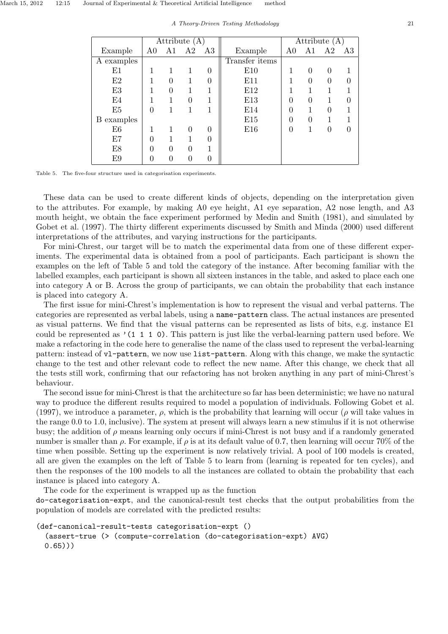|                | Attribute $(A)$ |    |                |          |                | Attribute $(A)$ |          |          |          |
|----------------|-----------------|----|----------------|----------|----------------|-----------------|----------|----------|----------|
| Example        | A0              | A1 | A <sub>2</sub> | A3       | Example        | A0              | A1       | A2       | A3       |
| A examples     |                 |    |                |          | Transfer items |                 |          |          |          |
| E1             |                 |    |                | $\Omega$ | E10            |                 | $\Omega$ | $\Omega$ |          |
| E2             |                 | 0  | 1              | $\theta$ | E11            |                 | $\Omega$ | 0        | 0        |
| E3             |                 | 0  |                | 1        | E12            | 1               |          | 1        |          |
| E4             |                 |    | $\theta$       | 1        | E13            | 0               | 0        | 1        |          |
| E5             | 0               |    |                | 1        | E14            | 0               |          | 0        |          |
| examples<br>В  |                 |    |                |          | E15            | 0               | 0        |          |          |
| E <sub>6</sub> |                 | 1  | $\Omega$       | 0        | E16            | 0               | 1        | 0        | $\Omega$ |
| E7             | 0               | 1  |                | $\theta$ |                |                 |          |          |          |
| E <sub>8</sub> | 0               | 0  | $\theta$       | 1        |                |                 |          |          |          |
| E9             |                 | 0  | $\Omega$       | 0        |                |                 |          |          |          |

A Theory-Driven Testing Methodology 21

Table 5. The five-four structure used in categorisation experiments.

These data can be used to create different kinds of objects, depending on the interpretation given to the attributes. For example, by making A0 eye height, A1 eye separation, A2 nose length, and A3 mouth height, we obtain the face experiment performed by Medin and Smith (1981), and simulated by Gobet et al. (1997). The thirty different experiments discussed by Smith and Minda (2000) used different interpretations of the attributes, and varying instructions for the participants.

For mini-Chrest, our target will be to match the experimental data from one of these different experiments. The experimental data is obtained from a pool of participants. Each participant is shown the examples on the left of Table 5 and told the category of the instance. After becoming familiar with the labelled examples, each participant is shown all sixteen instances in the table, and asked to place each one into category A or B. Across the group of participants, we can obtain the probability that each instance is placed into category A.

The first issue for mini-Chrest's implementation is how to represent the visual and verbal patterns. The categories are represented as verbal labels, using a name-pattern class. The actual instances are presented as visual patterns. We find that the visual patterns can be represented as lists of bits, e.g. instance E1 could be represented as '(1 1 1 0). This pattern is just like the verbal-learning pattern used before. We make a refactoring in the code here to generalise the name of the class used to represent the verbal-learning pattern: instead of vl-pattern, we now use list-pattern. Along with this change, we make the syntactic change to the test and other relevant code to reflect the new name. After this change, we check that all the tests still work, confirming that our refactoring has not broken anything in any part of mini-Chrest's behaviour.

The second issue for mini-Chrest is that the architecture so far has been deterministic; we have no natural way to produce the different results required to model a population of individuals. Following Gobet et al. (1997), we introduce a parameter,  $\rho$ , which is the probability that learning will occur ( $\rho$  will take values in the range 0.0 to 1.0, inclusive). The system at present will always learn a new stimulus if it is not otherwise busy; the addition of  $\rho$  means learning only occurs if mini-Chrest is not busy and if a randomly generated number is smaller than  $\rho$ . For example, if  $\rho$  is at its default value of 0.7, then learning will occur 70% of the time when possible. Setting up the experiment is now relatively trivial. A pool of 100 models is created, all are given the examples on the left of Table 5 to learn from (learning is repeated for ten cycles), and then the responses of the 100 models to all the instances are collated to obtain the probability that each instance is placed into category A.

The code for the experiment is wrapped up as the function do-categorisation-expt, and the canonical-result test checks that the output probabilities from the population of models are correlated with the predicted results:

```
(def-canonical-result-tests categorisation-expt ()
 (assert-true (> (compute-correlation (do-categorisation-expt) AVG)
 0.65)))
```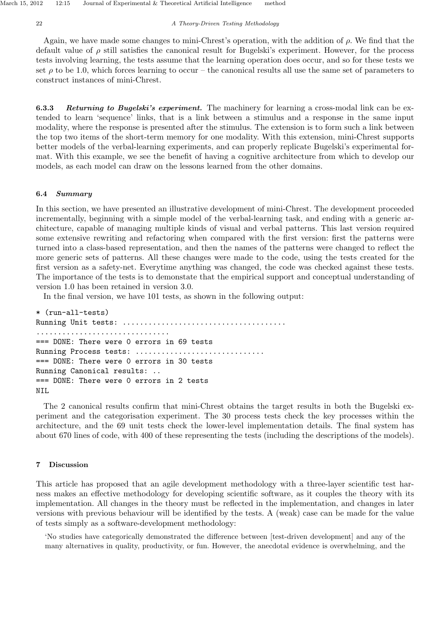Again, we have made some changes to mini-Chrest's operation, with the addition of  $\rho$ . We find that the default value of  $\rho$  still satisfies the canonical result for Bugelski's experiment. However, for the process tests involving learning, the tests assume that the learning operation does occur, and so for these tests we set  $\rho$  to be 1.0, which forces learning to occur – the canonical results all use the same set of parameters to construct instances of mini-Chrest.

6.3.3 *Returning to Bugelski's experiment.* The machinery for learning a cross-modal link can be extended to learn 'sequence' links, that is a link between a stimulus and a response in the same input modality, where the response is presented after the stimulus. The extension is to form such a link between the top two items of the short-term memory for one modality. With this extension, mini-Chrest supports better models of the verbal-learning experiments, and can properly replicate Bugelski's experimental format. With this example, we see the benefit of having a cognitive architecture from which to develop our models, as each model can draw on the lessons learned from the other domains.

# 6.4 *Summary*

In this section, we have presented an illustrative development of mini-Chrest. The development proceeded incrementally, beginning with a simple model of the verbal-learning task, and ending with a generic architecture, capable of managing multiple kinds of visual and verbal patterns. This last version required some extensive rewriting and refactoring when compared with the first version: first the patterns were turned into a class-based representation, and then the names of the patterns were changed to reflect the more generic sets of patterns. All these changes were made to the code, using the tests created for the first version as a safety-net. Everytime anything was changed, the code was checked against these tests. The importance of the tests is to demonstate that the empirical support and conceptual understanding of version 1.0 has been retained in version 3.0.

In the final version, we have 101 tests, as shown in the following output:

\* (run-all-tests) Running Unit tests: ...................................... ............................... === DONE: There were 0 errors in 69 tests Running Process tests: .............................. === DONE: There were 0 errors in 30 tests Running Canonical results: .. === DONE: There were 0 errors in 2 tests NIL

The 2 canonical results confirm that mini-Chrest obtains the target results in both the Bugelski experiment and the categorisation experiment. The 30 process tests check the key processes within the architecture, and the 69 unit tests check the lower-level implementation details. The final system has about 670 lines of code, with 400 of these representing the tests (including the descriptions of the models).

# 7 Discussion

This article has proposed that an agile development methodology with a three-layer scientific test harness makes an effective methodology for developing scientific software, as it couples the theory with its implementation. All changes in the theory must be reflected in the implementation, and changes in later versions with previous behaviour will be identified by the tests. A (weak) case can be made for the value of tests simply as a software-development methodology:

'No studies have categorically demonstrated the difference between [test-driven development] and any of the many alternatives in quality, productivity, or fun. However, the anecdotal evidence is overwhelming, and the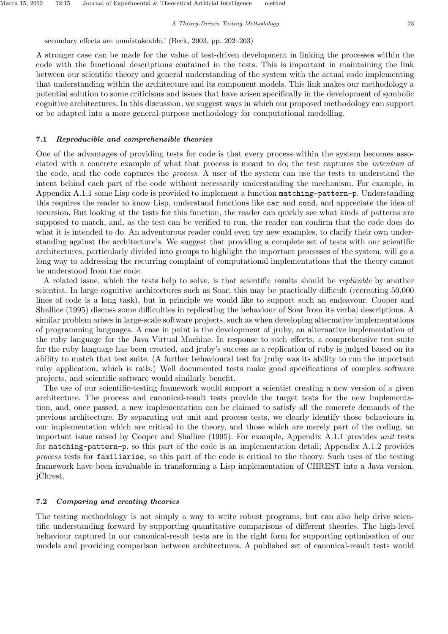A stronger case can be made for the value of test-driven development in linking the processes within the code with the functional descriptions contained in the tests. This is important in maintaining the link between our scientific theory and general understanding of the system with the actual code implementing that understanding within the architecture and its component models. This link makes our methodology a potential solution to some criticisms and issues that have arisen specifically in the development of symbolic cognitive architectures. In this discussion, we suggest ways in which our proposed methodology can support or be adapted into a more general-purpose methodology for computational modelling.

# 7.1 *Reproducible and comprehensible theories*

One of the advantages of providing tests for code is that every process within the system becomes associated with a concrete example of what that process is meant to do; the test captures the intention of the code, and the code captures the process. A user of the system can use the tests to understand the intent behind each part of the code without necessarily understanding the mechanism. For example, in Appendix A.1.1 some Lisp code is provided to implement a function matching-pattern-p. Understanding this requires the reader to know Lisp, understand functions like car and cond, and appreciate the idea of recursion. But looking at the tests for this function, the reader can quickly see what kinds of patterns are supposed to match, and, as the test can be verified to run, the reader can confirm that the code does do what it is intended to do. An adventurous reader could even try new examples, to clarify their own understanding against the architecture's. We suggest that providing a complete set of tests with our scientific architectures, particularly divided into groups to highlight the important processes of the system, will go a long way to addressing the recurring complaint of computational implementations that the theory cannot be understood from the code.

A related issue, which the tests help to solve, is that scientific results should be replicable by another scientist. In large cognitive architectures such as Soar, this may be practically difficult (recreating 50,000 lines of code is a long task), but in principle we would like to support such an endeavour. Cooper and Shallice (1995) discuss some difficulties in replicating the behaviour of Soar from its verbal descriptions. A similar problem arises in large-scale software projects, such as when developing alternative implementations of programming languages. A case in point is the development of jruby, an alternative implementation of the ruby language for the Java Virtual Machine. In response to such efforts, a comprehensive test suite for the ruby language has been created, and jruby's success as a replication of ruby is judged based on its ability to match that test suite. (A further behavioural test for jruby was its ability to run the important ruby application, which is rails.) Well documented tests make good specifications of complex software projects, and scientific software would similarly benefit.

The use of our scientific-testing framework would support a scientist creating a new version of a given architecture. The process and canonical-result tests provide the target tests for the new implementation, and, once passed, a new implementation can be claimed to satisfy all the concrete demands of the previous architecture. By separating out unit and process tests, we clearly identify those behaviours in our implementation which are critical to the theory, and those which are merely part of the coding, an important issue raised by Cooper and Shallice (1995). For example, Appendix A.1.1 provides unit tests for matching-pattern-p, so this part of the code is an implementation detail; Appendix A.1.2 provides process tests for familiarise, so this part of the code is critical to the theory. Such uses of the testing framework have been invaluable in transforming a Lisp implementation of CHREST into a Java version, jChrest.

# 7.2 *Comparing and creating theories*

The testing methodology is not simply a way to write robust programs, but can also help drive scientific understanding forward by supporting quantitative comparisons of different theories. The high-level behaviour captured in our canonical-result tests are in the right form for supporting optimisation of our models and providing comparison between architectures. A published set of canonical-result tests would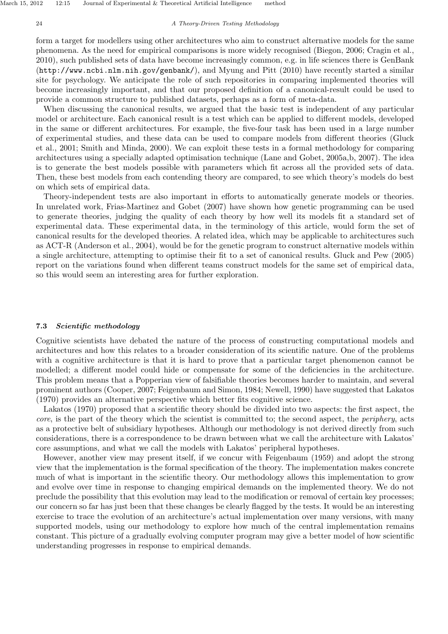form a target for modellers using other architectures who aim to construct alternative models for the same phenomena. As the need for empirical comparisons is more widely recognised (Biegon, 2006; Cragin et al., 2010), such published sets of data have become increasingly common, e.g. in life sciences there is GenBank (http://www.ncbi.nlm.nih.gov/genbank/), and Myung and Pitt (2010) have recently started a similar site for psychology. We anticipate the role of such repositories in comparing implemented theories will become increasingly important, and that our proposed definition of a canonical-result could be used to provide a common structure to published datasets, perhaps as a form of meta-data.

When discussing the canonical results, we argued that the basic test is independent of any particular model or architecture. Each canonical result is a test which can be applied to different models, developed in the same or different architectures. For example, the five-four task has been used in a large number of experimental studies, and these data can be used to compare models from different theories (Gluck et al., 2001; Smith and Minda, 2000). We can exploit these tests in a formal methodology for comparing architectures using a specially adapted optimisation technique (Lane and Gobet, 2005a,b, 2007). The idea is to generate the best models possible with parameters which fit across all the provided sets of data. Then, these best models from each contending theory are compared, to see which theory's models do best on which sets of empirical data.

Theory-independent tests are also important in efforts to automatically generate models or theories. In unrelated work, Frias-Martinez and Gobet (2007) have shown how genetic programming can be used to generate theories, judging the quality of each theory by how well its models fit a standard set of experimental data. These experimental data, in the terminology of this article, would form the set of canonical results for the developed theories. A related idea, which may be applicable to architectures such as ACT-R (Anderson et al., 2004), would be for the genetic program to construct alternative models within a single architecture, attempting to optimise their fit to a set of canonical results. Gluck and Pew (2005) report on the variations found when different teams construct models for the same set of empirical data, so this would seem an interesting area for further exploration.

# 7.3 *Scientific methodology*

Cognitive scientists have debated the nature of the process of constructing computational models and architectures and how this relates to a broader consideration of its scientific nature. One of the problems with a cognitive architecture is that it is hard to prove that a particular target phenomenon cannot be modelled; a different model could hide or compensate for some of the deficiencies in the architecture. This problem means that a Popperian view of falsifiable theories becomes harder to maintain, and several prominent authors (Cooper, 2007; Feigenbaum and Simon, 1984; Newell, 1990) have suggested that Lakatos (1970) provides an alternative perspective which better fits cognitive science.

Lakatos (1970) proposed that a scientific theory should be divided into two aspects: the first aspect, the core, is the part of the theory which the scientist is committed to; the second aspect, the periphery, acts as a protective belt of subsidiary hypotheses. Although our methodology is not derived directly from such considerations, there is a correspondence to be drawn between what we call the architecture with Lakatos' core assumptions, and what we call the models with Lakatos' peripheral hypotheses.

However, another view may present itself, if we concur with Feigenbaum (1959) and adopt the strong view that the implementation is the formal specification of the theory. The implementation makes concrete much of what is important in the scientific theory. Our methodology allows this implementation to grow and evolve over time in response to changing empirical demands on the implemented theory. We do not preclude the possibility that this evolution may lead to the modification or removal of certain key processes; our concern so far has just been that these changes be clearly flagged by the tests. It would be an interesting exercise to trace the evolution of an architecture's actual implementation over many versions, with many supported models, using our methodology to explore how much of the central implementation remains constant. This picture of a gradually evolving computer program may give a better model of how scientific understanding progresses in response to empirical demands.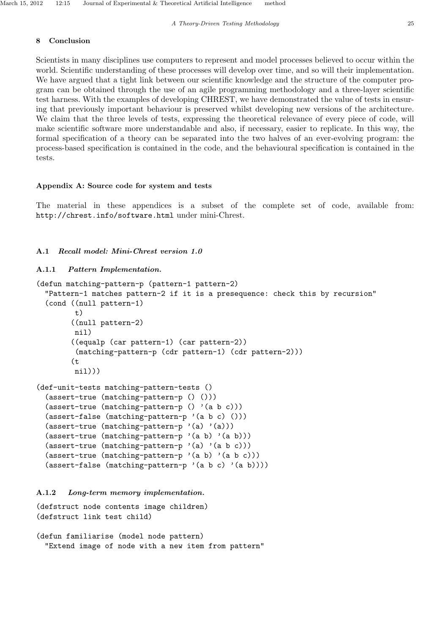# 8 Conclusion

Scientists in many disciplines use computers to represent and model processes believed to occur within the world. Scientific understanding of these processes will develop over time, and so will their implementation. We have argued that a tight link between our scientific knowledge and the structure of the computer program can be obtained through the use of an agile programming methodology and a three-layer scientific test harness. With the examples of developing CHREST, we have demonstrated the value of tests in ensuring that previously important behaviour is preserved whilst developing new versions of the architecture. We claim that the three levels of tests, expressing the theoretical relevance of every piece of code, will make scientific software more understandable and also, if necessary, easier to replicate. In this way, the formal specification of a theory can be separated into the two halves of an ever-evolving program: the process-based specification is contained in the code, and the behavioural specification is contained in the tests.

# Appendix A: Source code for system and tests

The material in these appendices is a subset of the complete set of code, available from: http://chrest.info/software.html under mini-Chrest.

# A.1 *Recall model: Mini-Chrest version 1.0*

# A.1.1 *Pattern Implementation.*

```
(defun matching-pattern-p (pattern-1 pattern-2)
 "Pattern-1 matches pattern-2 if it is a presequence: check this by recursion"
  (cond ((null pattern-1)
        t)
        ((null pattern-2)
        nil)
        ((equalp (car pattern-1) (car pattern-2))
         (matching-pattern-p (cdr pattern-1) (cdr pattern-2)))
        (t
        nil)))
(def-unit-tests matching-pattern-tests ()
  (assert-true (matching-pattern-p () ()))
  (assert-true (matching-pattern-p () '(a b c)))
  (assert-false (matching-pattern-p '(a b c) ()))
  (assert-true (matching-pattern-p '(a) '(a)))
  (assert-true (matching-pattern-p '(a b) '(a b)))
  (assert-true (matching-pattern-p '(a) '(a b c)))
  (assert-true (matching-pattern-p '(a b) '(a b c)))(assert-false (matching-pattern-p '(a b c) '(a b))))
```
# A.1.2 *Long-term memory implementation.*

(defstruct node contents image children) (defstruct link test child)

(defun familiarise (model node pattern) "Extend image of node with a new item from pattern"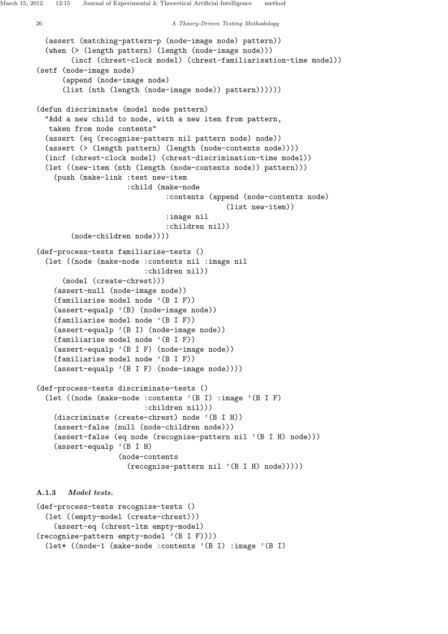```
26 A Theory-Driven Testing Methodology
  (assert (matching-pattern-p (node-image node) pattern))
  (when (> (length pattern) (length (node-image node)))
        (incf (chrest-clock model) (chrest-familiarisation-time model))
(setf (node-image node)
      (append (node-image node)
      (list (nth (length (node-image node)) pattern))))))
(defun discriminate (model node pattern)
  "Add a new child to node, with a new item from pattern,
  taken from node contents"
  (assert (eq (recognise-pattern nil pattern node) node))
  (assert (> (length pattern) (length (node-contents node))))
  (incf (chrest-clock model) (chrest-discrimination-time model))
  (let ((new-item (nth (length (node-contents node)) pattern)))
    (push (make-link :test new-item
                     :child (make-node
                              :contents (append (node-contents node)
                                            (list new-item))
                              :image nil
                              :children nil))
        (node-children node))))
(def-process-tests familiarise-tests ()
  (let ((node (make-node :contents nil :image nil
                         :children nil))
      (model (create-chrest)))
    (assert-null (node-image node))
    (familiarise model node '(B I F))
    (assert-equalp '(B) (node-image node))
    (familiarise model node '(B I F))
    (assert-equalp '(B I) (node-image node))
    (familiarise model node '(B I F))
    (assert-equalp '(B I F) (node-image node))
    (familiarise model node '(B I F))
    (assert-equalp '(B I F) (node-image node))))
(def-process-tests discriminate-tests ()
  (let ((node (make-node :contents '(B I) :image '(B I F)
                         :children nil)))
    (discriminate (create-chrest) node '(B I H))
    (assert-false (null (node-children node)))
    (assert-false (eq node (recognise-pattern nil '(B I H) node)))
    (assert-equalp '(B I H)
                   (node-contents
                     (recognise-pattern nil '(B I H) node)))))
A.1.3 Model tests.
```
(def-process-tests recognise-tests () (let ((empty-model (create-chrest))) (assert-eq (chrest-ltm empty-model) (recognise-pattern empty-model '(B I F)))) (let\* ((node-1 (make-node :contents '(B I) :image '(B I)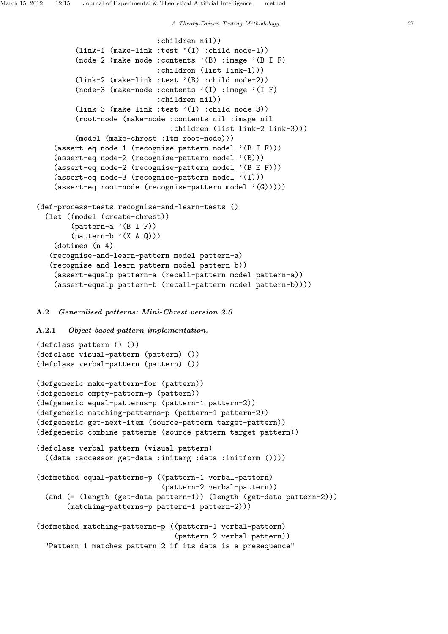```
:children nil))
         (link-1 (make-link :test '(I) :child node-1))
         (node-2 (make-node :contents '(B) :image '(B I F)
                            :children (list link-1)))
         (link-2 (make-link :test '(B) :child node-2))
         (node-3 (make-node :contents '(I) :image '(I F)
                            :children nil))
         (link-3 (make-link :test '(I) :child node-3))
         (root-node (make-node :contents nil :image nil
                                :children (list link-2 link-3)))
         (model (make-chrest :ltm root-node)))
    (assert-eq node-1 (recognise-pattern model '(B I F)))
    (assert-eq node-2 (recognise-pattern model '(B)))
    (assert-eq node-2 (recognise-pattern model '(B E F)))
    (assert-eq node-3 (recognise-pattern model '(I)))
    (assert-eq root-node (recognise-pattern model '(G)))))
(def-process-tests recognise-and-learn-tests ()
  (let ((model (create-chrest))
        (pattern-a '(B I F))
        (\text{pattern}-b \quad (\text{X A Q})))(dotimes (n 4)
   (recognise-and-learn-pattern model pattern-a)
   (recognise-and-learn-pattern model pattern-b))
    (assert-equalp pattern-a (recall-pattern model pattern-a))
    (assert-equalp pattern-b (recall-pattern model pattern-b))))
```
#### A.2 *Generalised patterns: Mini-Chrest version 2.0*

A.2.1 *Object-based pattern implementation.*

```
(defclass pattern () ())
(defclass visual-pattern (pattern) ())
(defclass verbal-pattern (pattern) ())
(defgeneric make-pattern-for (pattern))
(defgeneric empty-pattern-p (pattern))
(defgeneric equal-patterns-p (pattern-1 pattern-2))
(defgeneric matching-patterns-p (pattern-1 pattern-2))
(defgeneric get-next-item (source-pattern target-pattern))
(defgeneric combine-patterns (source-pattern target-pattern))
(defclass verbal-pattern (visual-pattern)
  ((data :accessor get-data :initarg :data :initform ())))
(defmethod equal-patterns-p ((pattern-1 verbal-pattern)
                             (pattern-2 verbal-pattern))
  (and (= (length (get-data pattern-1)) (length (get-data pattern-2)))
       (matching-patterns-p pattern-1 pattern-2)))
(defmethod matching-patterns-p ((pattern-1 verbal-pattern)
                                (pattern-2 verbal-pattern))
  "Pattern 1 matches pattern 2 if its data is a presequence"
```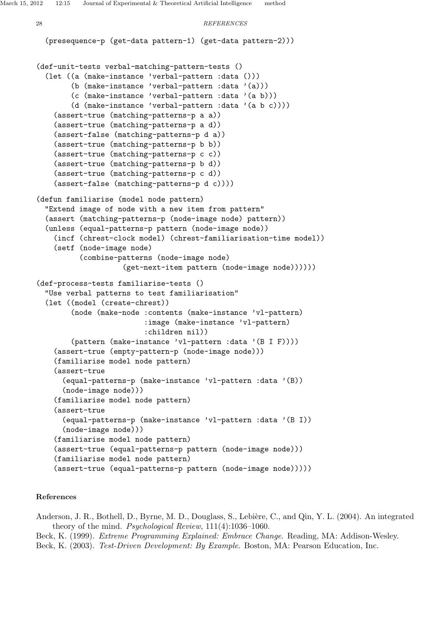March 15, 2012 12:15 Journal of Experimental & Theoretical Artificial Intelligence method

#### 28 REFERENCES

(presequence-p (get-data pattern-1) (get-data pattern-2)))

```
(def-unit-tests verbal-matching-pattern-tests ()
  (let ((a (make-instance 'verbal-pattern :data ()))
        (b (make-instance 'verbal-pattern :data '(a)))
        (c (make-instance 'verbal-pattern :data '(a b)))
        (d (make-instance 'verbal-pattern :data '(a b c))))
    (assert-true (matching-patterns-p a a))
    (assert-true (matching-patterns-p a d))
    (assert-false (matching-patterns-p d a))
    (assert-true (matching-patterns-p b b))
    (assert-true (matching-patterns-p c c))
    (assert-true (matching-patterns-p b d))
    (assert-true (matching-patterns-p c d))
    (assert-false (matching-patterns-p d c))))
(defun familiarise (model node pattern)
 "Extend image of node with a new item from pattern"
  (assert (matching-patterns-p (node-image node) pattern))
  (unless (equal-patterns-p pattern (node-image node))
    (incf (chrest-clock model) (chrest-familiarisation-time model))
    (setf (node-image node)
          (combine-patterns (node-image node)
                    (get-next-item pattern (node-image node))))))
(def-process-tests familiarise-tests ()
 "Use verbal patterns to test familiarisation"
  (let ((model (create-chrest))
        (node (make-node :contents (make-instance 'vl-pattern)
                         :image (make-instance 'vl-pattern)
                         :children nil))
        (pattern (make-instance 'vl-pattern :data '(B I F))))
    (assert-true (empty-pattern-p (node-image node)))
    (familiarise model node pattern)
    (assert-true
      (equal-patterns-p (make-instance 'vl-pattern :data '(B))
      (node-image node)))
    (familiarise model node pattern)
    (assert-true
      (equal-patterns-p (make-instance 'vl-pattern :data '(B I))
      (node-image node)))
    (familiarise model node pattern)
    (assert-true (equal-patterns-p pattern (node-image node)))
    (familiarise model node pattern)
    (assert-true (equal-patterns-p pattern (node-image node)))))
```
#### References

Anderson, J. R., Bothell, D., Byrne, M. D., Douglass, S., Lebière, C., and Qin, Y. L. (2004). An integrated theory of the mind. Psychological Review, 111(4):1036–1060. Beck, K. (1999). Extreme Programming Explained: Embrace Change. Reading, MA: Addison-Wesley. Beck, K. (2003). Test-Driven Development: By Example. Boston, MA: Pearson Education, Inc.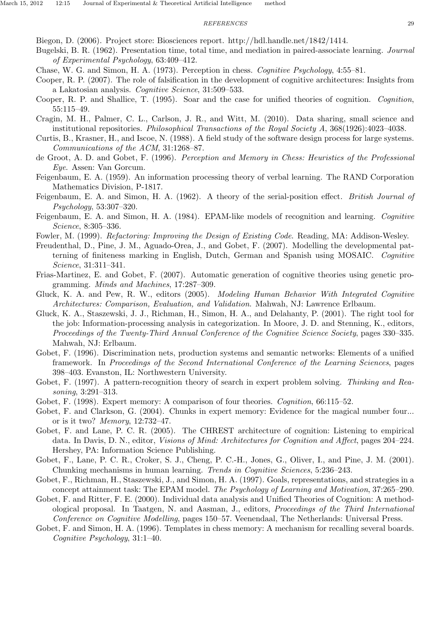#### REFERENCES 29

Biegon, D. (2006). Project store: Biosciences report. http://hdl.handle.net/1842/1414.

- Bugelski, B. R. (1962). Presentation time, total time, and mediation in paired-associate learning. Journal of Experimental Psychology, 63:409–412.
- Chase, W. G. and Simon, H. A. (1973). Perception in chess. Cognitive Psychology, 4:55–81.
- Cooper, R. P. (2007). The role of falsification in the development of cognitive architectures: Insights from a Lakatosian analysis. Cognitive Science, 31:509–533.
- Cooper, R. P. and Shallice, T. (1995). Soar and the case for unified theories of cognition. Cognition, 55:115–49.
- Cragin, M. H., Palmer, C. L., Carlson, J. R., and Witt, M. (2010). Data sharing, small science and institutional repositories. Philosophical Transactions of the Royal Society A, 368(1926):4023–4038.
- Curtis, B., Krasner, H., and Iscoe, N. (1988). A field study of the software design process for large systems. Communications of the ACM, 31:1268–87.
- de Groot, A. D. and Gobet, F. (1996). Perception and Memory in Chess: Heuristics of the Professional Eye. Assen: Van Gorcum.
- Feigenbaum, E. A. (1959). An information processing theory of verbal learning. The RAND Corporation Mathematics Division, P-1817.
- Feigenbaum, E. A. and Simon, H. A. (1962). A theory of the serial-position effect. British Journal of Psychology, 53:307–320.
- Feigenbaum, E. A. and Simon, H. A. (1984). EPAM-like models of recognition and learning. Cognitive Science, 8:305–336.
- Fowler, M. (1999). Refactoring: Improving the Design of Existing Code. Reading, MA: Addison-Wesley.
- Freudenthal, D., Pine, J. M., Aguado-Orea, J., and Gobet, F. (2007). Modelling the developmental patterning of finiteness marking in English, Dutch, German and Spanish using MOSAIC. Cognitive Science, 31:311–341.
- Frias-Martinez, E. and Gobet, F. (2007). Automatic generation of cognitive theories using genetic programming. Minds and Machines, 17:287–309.
- Gluck, K. A. and Pew, R. W., editors (2005). Modeling Human Behavior With Integrated Cognitive Architectures: Comparison, Evaluation, and Validation. Mahwah, NJ: Lawrence Erlbaum.
- Gluck, K. A., Staszewski, J. J., Richman, H., Simon, H. A., and Delahanty, P. (2001). The right tool for the job: Information-processing analysis in categorization. In Moore, J. D. and Stenning, K., editors, Proceedings of the Twenty-Third Annual Conference of the Cognitive Science Society, pages 330–335. Mahwah, NJ: Erlbaum.
- Gobet, F. (1996). Discrimination nets, production systems and semantic networks: Elements of a unified framework. In Proceedings of the Second International Conference of the Learning Sciences, pages 398–403. Evanston, IL: Northwestern University.
- Gobet, F. (1997). A pattern-recognition theory of search in expert problem solving. Thinking and Reasoning, 3:291–313.
- Gobet, F. (1998). Expert memory: A comparison of four theories. Cognition, 66:115–52.
- Gobet, F. and Clarkson, G. (2004). Chunks in expert memory: Evidence for the magical number four... or is it two? Memory, 12:732–47.
- Gobet, F. and Lane, P. C. R. (2005). The CHREST architecture of cognition: Listening to empirical data. In Davis, D. N., editor, Visions of Mind: Architectures for Cognition and Affect, pages 204–224. Hershey, PA: Information Science Publishing.
- Gobet, F., Lane, P. C. R., Croker, S. J., Cheng, P. C.-H., Jones, G., Oliver, I., and Pine, J. M. (2001). Chunking mechanisms in human learning. Trends in Cognitive Sciences, 5:236–243.
- Gobet, F., Richman, H., Staszewski, J., and Simon, H. A. (1997). Goals, representations, and strategies in a concept attainment task: The EPAM model. The Psychology of Learning and Motivation, 37:265–290.
- Gobet, F. and Ritter, F. E. (2000). Individual data analysis and Unified Theories of Cognition: A methodological proposal. In Taatgen, N. and Aasman, J., editors, Proceedings of the Third International Conference on Cognitive Modelling, pages 150–57. Veenendaal, The Netherlands: Universal Press.
- Gobet, F. and Simon, H. A. (1996). Templates in chess memory: A mechanism for recalling several boards. Cognitive Psychology, 31:1–40.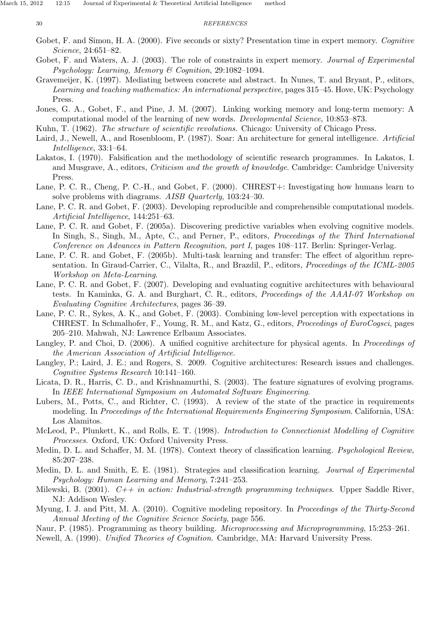#### 30 REFERENCES

- Gobet, F. and Simon, H. A. (2000). Five seconds or sixty? Presentation time in expert memory. Cognitive Science, 24:651–82.
- Gobet, F. and Waters, A. J. (2003). The role of constraints in expert memory. Journal of Experimental Psychology: Learning, Memory & Cognition, 29:1082–1094.
- Gravemeijer, K. (1997). Mediating between concrete and abstract. In Nunes, T. and Bryant, P., editors, Learning and teaching mathematics: An international perspective, pages 315–45. Hove, UK: Psychology Press.
- Jones, G. A., Gobet, F., and Pine, J. M. (2007). Linking working memory and long-term memory: A computational model of the learning of new words. Developmental Science, 10:853–873.
- Kuhn, T. (1962). The structure of scientific revolutions. Chicago: University of Chicago Press.
- Laird, J., Newell, A., and Rosenbloom, P. (1987). Soar: An architecture for general intelligence. Artificial Intelligence, 33:1–64.
- Lakatos, I. (1970). Falsification and the methodology of scientific research programmes. In Lakatos, I. and Musgrave, A., editors, Criticism and the growth of knowledge. Cambridge: Cambridge University Press.
- Lane, P. C. R., Cheng, P. C.-H., and Gobet, F. (2000). CHREST+: Investigating how humans learn to solve problems with diagrams. AISB Quarterly, 103:24–30.
- Lane, P. C. R. and Gobet, F. (2003). Developing reproducible and comprehensible computational models. Artificial Intelligence, 144:251–63.
- Lane, P. C. R. and Gobet, F. (2005a). Discovering predictive variables when evolving cognitive models. In Singh, S., Singh, M., Apte, C., and Perner, P., editors, Proceedings of the Third International Conference on Advances in Pattern Recognition, part I, pages 108–117. Berlin: Springer-Verlag.
- Lane, P. C. R. and Gobet, F. (2005b). Multi-task learning and transfer: The effect of algorithm representation. In Giraud-Carrier, C., Vilalta, R., and Brazdil, P., editors, Proceedings of the ICML-2005 Workshop on Meta-Learning.
- Lane, P. C. R. and Gobet, F. (2007). Developing and evaluating cognitive architectures with behavioural tests. In Kaminka, G. A. and Burghart, C. R., editors, Proceedings of the AAAI-07 Workshop on Evaluating Cognitive Architectures, pages 36–39.
- Lane, P. C. R., Sykes, A. K., and Gobet, F. (2003). Combining low-level perception with expectations in CHREST. In Schmalhofer, F., Young, R. M., and Katz, G., editors, Proceedings of EuroCogsci, pages 205–210. Mahwah, NJ: Lawrence Erlbaum Associates.
- Langley, P. and Choi, D. (2006). A unified cognitive architecture for physical agents. In Proceedings of the American Association of Artificial Intelligence.
- Langley, P.; Laird, J. E.; and Rogers, S. 2009. Cognitive architectures: Research issues and challenges. Cognitive Systems Research 10:141–160.
- Licata, D. R., Harris, C. D., and Krishnamurthi, S. (2003). The feature signatures of evolving programs. In IEEE International Symposium on Automated Software Engineering.
- Lubers, M., Potts, C., and Richter, C. (1993). A review of the state of the practice in requirements modeling. In Proceedings of the International Requirements Engineering Symposium. California, USA: Los Alamitos.
- McLeod, P., Plunkett, K., and Rolls, E. T. (1998). Introduction to Connectionist Modelling of Cognitive Processes. Oxford, UK: Oxford University Press.
- Medin, D. L. and Schaffer, M. M. (1978). Context theory of classification learning. Psychological Review, 85:207–238.
- Medin, D. L. and Smith, E. E. (1981). Strategies and classification learning. Journal of Experimental Psychology: Human Learning and Memory, 7:241–253.
- Milewski, B. (2001).  $C++$  in action: Industrial-strength programming techniques. Upper Saddle River, NJ: Addison Wesley.
- Myung, I. J. and Pitt, M. A. (2010). Cognitive modeling repository. In Proceedings of the Thirty-Second Annual Meeting of the Cognitive Science Society, page 556.
- Naur, P. (1985). Programming as theory building. Microprocessing and Microprogramming, 15:253–261. Newell, A. (1990). Unified Theories of Cognition. Cambridge, MA: Harvard University Press.